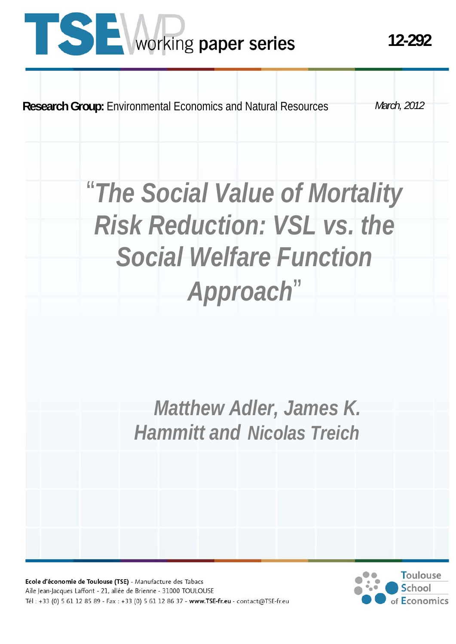# **TISE** working paper series

**Research Group:** Environmental Economics and Natural Resources

*March, 2012* 

# "*The Social Value of Mortality Risk Reduction: VSL vs. the Social Welfare Function Approach*"

 *Matthew Adler, James K. Hammitt and Nicolas Treich*

Ecole d'économie de Toulouse (TSE) - Manufacture des Tabacs Aile Jean-Jacques Laffont - 21, allée de Brienne - 31000 TOULOUSE Tél: +33 (0) 5 61 12 85 89 - Fax: +33 (0) 5 61 12 86 37 - www.TSE-fr.eu - contact@TSE-fr.eu

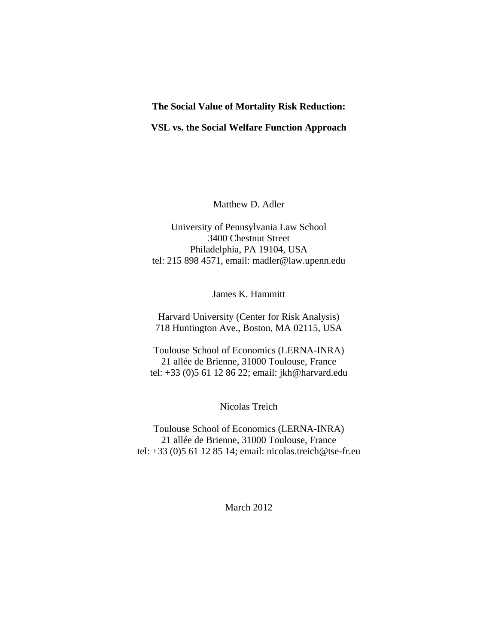#### **The Social Value of Mortality Risk Reduction:**

#### **VSL vs. the Social Welfare Function Approach**

Matthew D. Adler

University of Pennsylvania Law School 3400 Chestnut Street Philadelphia, PA 19104, USA tel: 215 898 4571, email: madler@law.upenn.edu

James K. Hammitt

Harvard University (Center for Risk Analysis) 718 Huntington Ave., Boston, MA 02115, USA

Toulouse School of Economics (LERNA-INRA) 21 allée de Brienne, 31000 Toulouse, France tel: +33 (0)5 61 12 86 22; email: jkh@harvard.edu

Nicolas Treich

Toulouse School of Economics (LERNA-INRA) 21 allée de Brienne, 31000 Toulouse, France tel: +33 (0)5 61 12 85 14; email: nicolas.treich@tse-fr.eu

March 2012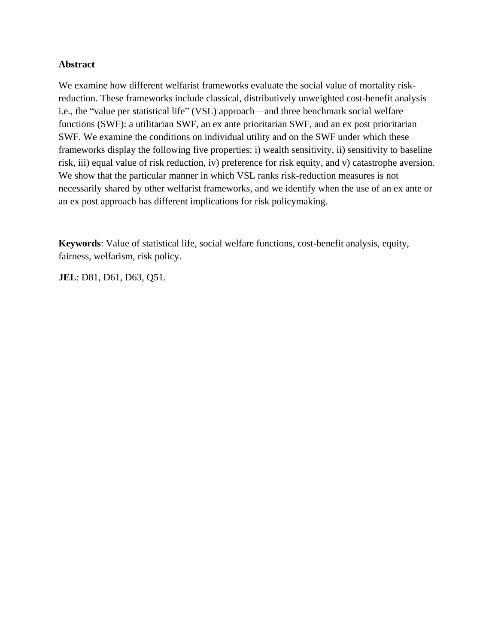# **Abstract**

We examine how different welfarist frameworks evaluate the social value of mortality riskreduction. These frameworks include classical, distributively unweighted cost-benefit analysis i.e., the "value per statistical life" (VSL) approach—and three benchmark social welfare functions (SWF): a utilitarian SWF, an ex ante prioritarian SWF, and an ex post prioritarian SWF. We examine the conditions on individual utility and on the SWF under which these frameworks display the following five properties: i) wealth sensitivity, ii) sensitivity to baseline risk, iii) equal value of risk reduction, iv) preference for risk equity, and v) catastrophe aversion. We show that the particular manner in which VSL ranks risk-reduction measures is not necessarily shared by other welfarist frameworks, and we identify when the use of an ex ante or an ex post approach has different implications for risk policymaking.

**Keywords**: Value of statistical life, social welfare functions, cost-benefit analysis, equity, fairness, welfarism, risk policy.

**JEL**: D81, D61, D63, Q51.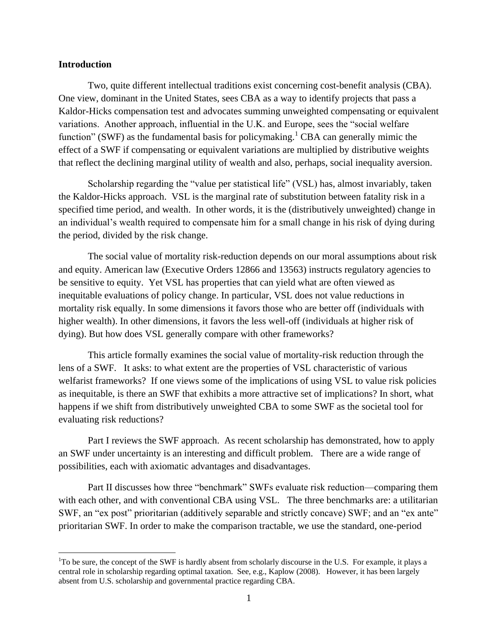## **Introduction**

 $\overline{a}$ 

Two, quite different intellectual traditions exist concerning cost-benefit analysis (CBA). One view, dominant in the United States, sees CBA as a way to identify projects that pass a Kaldor-Hicks compensation test and advocates summing unweighted compensating or equivalent variations. Another approach, influential in the U.K. and Europe, sees the "social welfare function" (SWF) as the fundamental basis for policymaking.<sup>1</sup> CBA can generally mimic the effect of a SWF if compensating or equivalent variations are multiplied by distributive weights that reflect the declining marginal utility of wealth and also, perhaps, social inequality aversion.

Scholarship regarding the "value per statistical life" (VSL) has, almost invariably, taken the Kaldor-Hicks approach. VSL is the marginal rate of substitution between fatality risk in a specified time period, and wealth. In other words, it is the (distributively unweighted) change in an individual's wealth required to compensate him for a small change in his risk of dying during the period, divided by the risk change.

The social value of mortality risk-reduction depends on our moral assumptions about risk and equity. American law (Executive Orders 12866 and 13563) instructs regulatory agencies to be sensitive to equity. Yet VSL has properties that can yield what are often viewed as inequitable evaluations of policy change. In particular, VSL does not value reductions in mortality risk equally. In some dimensions it favors those who are better off (individuals with higher wealth). In other dimensions, it favors the less well-off (individuals at higher risk of dying). But how does VSL generally compare with other frameworks?

This article formally examines the social value of mortality-risk reduction through the lens of a SWF. It asks: to what extent are the properties of VSL characteristic of various welfarist frameworks? If one views some of the implications of using VSL to value risk policies as inequitable, is there an SWF that exhibits a more attractive set of implications? In short, what happens if we shift from distributively unweighted CBA to some SWF as the societal tool for evaluating risk reductions?

Part I reviews the SWF approach. As recent scholarship has demonstrated, how to apply an SWF under uncertainty is an interesting and difficult problem. There are a wide range of possibilities, each with axiomatic advantages and disadvantages.

Part II discusses how three "benchmark" SWFs evaluate risk reduction—comparing them with each other, and with conventional CBA using VSL. The three benchmarks are: a utilitarian SWF, an "ex post" prioritarian (additively separable and strictly concave) SWF; and an "ex ante" prioritarian SWF. In order to make the comparison tractable, we use the standard, one-period

 $1^1$ To be sure, the concept of the SWF is hardly absent from scholarly discourse in the U.S. For example, it plays a central role in scholarship regarding optimal taxation. See, e.g., Kaplow (2008). However, it has been largely absent from U.S. scholarship and governmental practice regarding CBA.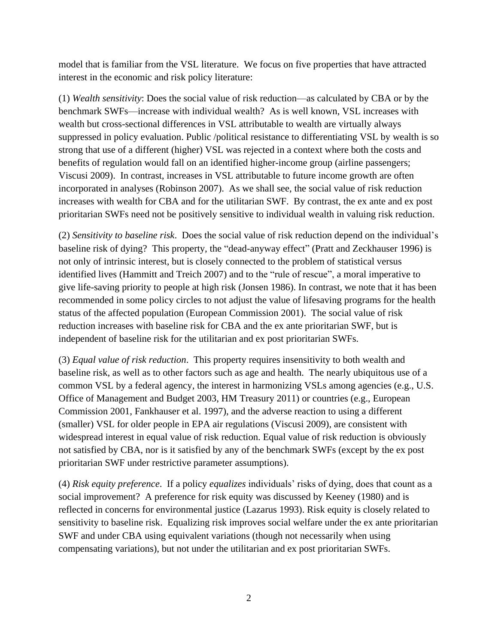model that is familiar from the VSL literature. We focus on five properties that have attracted interest in the economic and risk policy literature:

(1) *Wealth sensitivity*: Does the social value of risk reduction—as calculated by CBA or by the benchmark SWFs—increase with individual wealth? As is well known, VSL increases with wealth but cross-sectional differences in VSL attributable to wealth are virtually always suppressed in policy evaluation. Public /political resistance to differentiating VSL by wealth is so strong that use of a different (higher) VSL was rejected in a context where both the costs and benefits of regulation would fall on an identified higher-income group (airline passengers; Viscusi 2009). In contrast, increases in VSL attributable to future income growth are often incorporated in analyses (Robinson 2007). As we shall see, the social value of risk reduction increases with wealth for CBA and for the utilitarian SWF. By contrast, the ex ante and ex post prioritarian SWFs need not be positively sensitive to individual wealth in valuing risk reduction.

(2) *Sensitivity to baseline risk*. Does the social value of risk reduction depend on the individual's baseline risk of dying? This property, the "dead-anyway effect" (Pratt and Zeckhauser 1996) is not only of intrinsic interest, but is closely connected to the problem of statistical versus identified lives (Hammitt and Treich 2007) and to the "rule of rescue", a moral imperative to give life-saving priority to people at high risk (Jonsen 1986). In contrast, we note that it has been recommended in some policy circles to not adjust the value of lifesaving programs for the health status of the affected population (European Commission 2001). The social value of risk reduction increases with baseline risk for CBA and the ex ante prioritarian SWF, but is independent of baseline risk for the utilitarian and ex post prioritarian SWFs.

(3) *Equal value of risk reduction*. This property requires insensitivity to both wealth and baseline risk, as well as to other factors such as age and health. The nearly ubiquitous use of a common VSL by a federal agency, the interest in harmonizing VSLs among agencies (e.g., U.S. Office of Management and Budget 2003, HM Treasury 2011) or countries (e.g., European Commission 2001, Fankhauser et al. 1997), and the adverse reaction to using a different (smaller) VSL for older people in EPA air regulations (Viscusi 2009), are consistent with widespread interest in equal value of risk reduction. Equal value of risk reduction is obviously not satisfied by CBA, nor is it satisfied by any of the benchmark SWFs (except by the ex post prioritarian SWF under restrictive parameter assumptions).

(4) *Risk equity preference*. If a policy *equalizes* individuals' risks of dying, does that count as a social improvement? A preference for risk equity was discussed by Keeney (1980) and is reflected in concerns for environmental justice (Lazarus 1993). Risk equity is closely related to sensitivity to baseline risk. Equalizing risk improves social welfare under the ex ante prioritarian SWF and under CBA using equivalent variations (though not necessarily when using compensating variations), but not under the utilitarian and ex post prioritarian SWFs.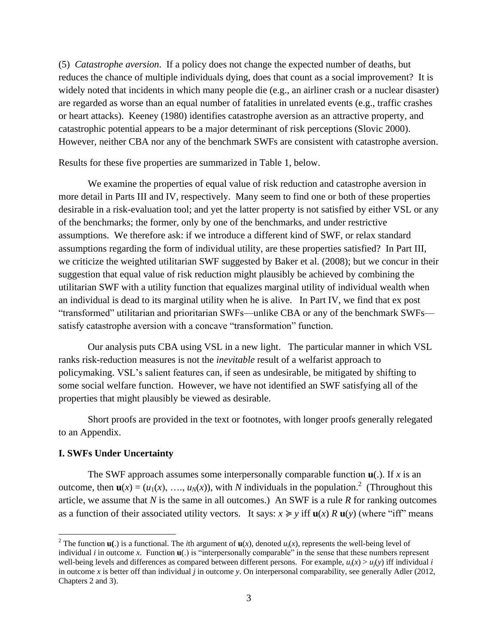(5) *Catastrophe aversion*. If a policy does not change the expected number of deaths, but reduces the chance of multiple individuals dying, does that count as a social improvement? It is widely noted that incidents in which many people die (e.g., an airliner crash or a nuclear disaster) are regarded as worse than an equal number of fatalities in unrelated events (e.g., traffic crashes or heart attacks). Keeney (1980) identifies catastrophe aversion as an attractive property, and catastrophic potential appears to be a major determinant of risk perceptions (Slovic 2000). However, neither CBA nor any of the benchmark SWFs are consistent with catastrophe aversion.

Results for these five properties are summarized in Table 1, below.

We examine the properties of equal value of risk reduction and catastrophe aversion in more detail in Parts III and IV, respectively. Many seem to find one or both of these properties desirable in a risk-evaluation tool; and yet the latter property is not satisfied by either VSL or any of the benchmarks; the former, only by one of the benchmarks, and under restrictive assumptions. We therefore ask: if we introduce a different kind of SWF, or relax standard assumptions regarding the form of individual utility, are these properties satisfied? In Part III, we criticize the weighted utilitarian SWF suggested by Baker et al. (2008); but we concur in their suggestion that equal value of risk reduction might plausibly be achieved by combining the utilitarian SWF with a utility function that equalizes marginal utility of individual wealth when an individual is dead to its marginal utility when he is alive. In Part IV, we find that ex post "transformed" utilitarian and prioritarian SWFs—unlike CBA or any of the benchmark SWFs satisfy catastrophe aversion with a concave "transformation" function.

Our analysis puts CBA using VSL in a new light. The particular manner in which VSL ranks risk-reduction measures is not the *inevitable* result of a welfarist approach to policymaking. VSL's salient features can, if seen as undesirable, be mitigated by shifting to some social welfare function. However, we have not identified an SWF satisfying all of the properties that might plausibly be viewed as desirable.

Short proofs are provided in the text or footnotes, with longer proofs generally relegated to an Appendix.

## **I. SWFs Under Uncertainty**

 $\overline{a}$ 

The SWF approach assumes some interpersonally comparable function  $\mathbf{u}(\cdot)$ . If *x* is an outcome, then  $\mathbf{u}(x) = (u_1(x), \ldots, u_N(x))$ , with *N* individuals in the population.<sup>2</sup> (Throughout this article, we assume that *N* is the same in all outcomes.) An SWF is a rule *R* for ranking outcomes as a function of their associated utility vectors. It says:  $x \geq y$  iff  $u(x)$  *R*  $u(y)$  (where "iff" means

<sup>&</sup>lt;sup>2</sup> The function  $\mathbf{u}$ (.) is a functional. The *i*th argument of  $\mathbf{u}(x)$ , denoted  $u_i(x)$ , represents the well-being level of individual  $i$  in outcome  $x$ . Function  $\mathbf{u}(\cdot)$  is "interpersonally comparable" in the sense that these numbers represent well-being levels and differences as compared between different persons. For example,  $u_i(x) > u_i(y)$  iff individual *i* in outcome *x* is better off than individual *j* in outcome *y*. On interpersonal comparability, see generally Adler (2012, Chapters 2 and 3).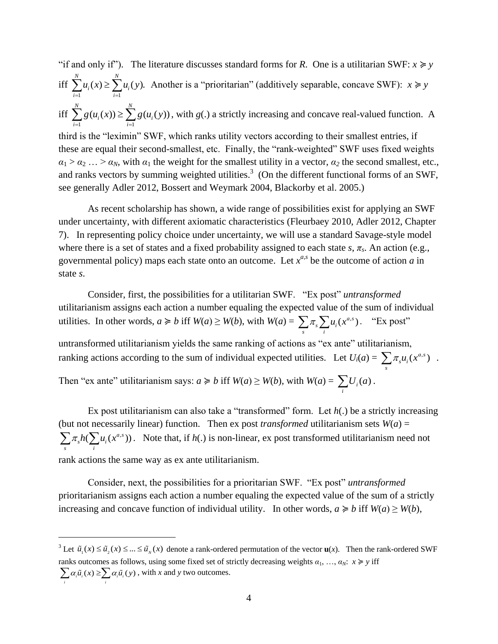"if and only if"). The literature discusses standard forms for *R*. One is a utilitarian SWF:  $x \ge y$ iff  $\overline{i}$  1  $\sum_{i=1}^{N} u_i(x) \ge \sum_{i=1}^{N} u_i(y).$  $u_i(x) \leq \sum u_i$  $\overline{i=1}$   $\overline{i}$  $u_i(x) \ge \sum u_i(y)$  $\sum_{i=1}^{N} u_i(x) \ge \sum_{i=1}^{N} u_i(y)$ . Another is a "prioritarian" (additively separable, concave SWF):  $x \ge y$ iff  $\overrightarrow{i}$  1  $\overrightarrow{i}$  1  $\overrightarrow{i}$  1  $\overrightarrow{i}$  1  $\overrightarrow{i}$  1  $\overrightarrow{i}$  1  $\overrightarrow{i}$  $\sum_{i=1}^{N} g(u_i(x)) \geq \sum_{i=1}^{N} g(u_i(y))$  $a_i(x)) \geq \sum g(u_i)$  $\sum_{i=1}^{n}$  i<sub>i</sub>  $g(u_i(x)) \geq \sum_{i=1}^{N} g(u_i(y))$  $\sum_{i=1}^{N} g(u_i(x)) \ge \sum_{i=1}^{N} g(u_i(y))$ , with  $g(.)$  a strictly increasing and concave real-valued function. A third is the "leximin" SWF, which ranks utility vectors according to their smallest entries, if these are equal their second-smallest, etc. Finally, the "rank-weighted" SWF uses fixed weights  $a_1 > a_2 ... > a_N$ , with  $a_1$  the weight for the smallest utility in a vector,  $a_2$  the second smallest, etc., and ranks vectors by summing weighted utilities.<sup>3</sup> (On the different functional forms of an SWF, see generally Adler 2012, Bossert and Weymark 2004, Blackorby et al. 2005.)

As recent scholarship has shown, a wide range of possibilities exist for applying an SWF under uncertainty, with different axiomatic characteristics (Fleurbaey 2010, Adler 2012, Chapter 7). In representing policy choice under uncertainty, we will use a standard Savage-style model where there is a set of states and a fixed probability assigned to each state  $s$ ,  $\pi_s$ . An action (e.g., governmental policy) maps each state onto an outcome. Let  $x^{a,s}$  be the outcome of action *a* in state *s*.

Consider, first, the possibilities for a utilitarian SWF. "Ex post" *untransformed* utilitarianism assigns each action a number equaling the expected value of the sum of individual utilities. In other words,  $a \ge b$  iff  $W(a) \ge W(b)$ , with  $W(a) = \sum \pi_s \sum u_i(x^{a,s})$  $\sum_{s} \pi_{s} \sum_{i} u_{i}(x^{a,s})$ . "Ex post" untransformed utilitarianism yields the same ranking of actions as "ex ante" utilitarianism, ranking actions according to the sum of individual expected utilities. Let  $U_i(a) = \sum_{i} \pi_{i} u_i(x^{a,s})$  $\sum_{s} \pi_{s} u_{i}(x^{a,s})$ . Then "ex ante" utilitarianism says:  $a \ge b$  iff  $W(a) \ge W(b)$ , with  $W(a) = \sum U_i(a)$  $\sum_i U_i(a)$ .

Ex post utilitarianism can also take a "transformed" form. Let *h*(.) be a strictly increasing (but not necessarily linear) function. Then ex post *transformed* utilitarianism sets  $W(a)$  =  $h(\sum u_i(x^{a,s}))$  $\sum_{s} \pi_{s} h(\sum_{i} u_{i}(x^{a,s}))$ . Note that, if *h*(.) is non-linear, ex post transformed utilitarianism need not rank actions the same way as ex ante utilitarianism.

Consider, next, the possibilities for a prioritarian SWF. "Ex post" *untransformed* prioritarianism assigns each action a number equaling the expected value of the sum of a strictly increasing and concave function of individual utility. In other words,  $a \ge b$  iff  $W(a) \ge W(b)$ ,

 $\overline{a}$ 

<sup>&</sup>lt;sup>3</sup> Let  $\tilde{u}_1(x) \le \tilde{u}_2(x) \le ... \le \tilde{u}_N(x)$  denote a rank-ordered permutation of the vector **u**(*x*). Then the rank-ordered SWF ranks outcomes as follows, using some fixed set of strictly decreasing weights  $a_1, ..., a_N$ :  $x \ge y$  iff  $\sum_i \alpha_i \tilde{u}_i(x) \ge \sum_i \alpha_i \tilde{u}_i(y)$ , with *x* and *y* two outcomes.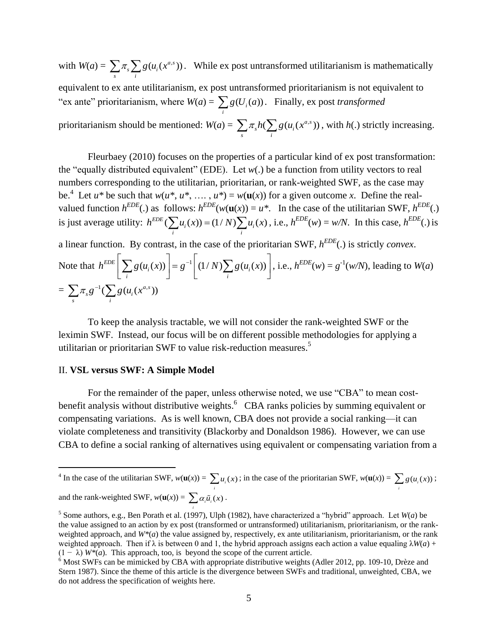with  $W(a) = \sum \pi_s \sum g(u_i(x^{a,s}))$  $\sum_{s} \pi_{s} \sum_{i} g(u_{i}(x^{a,s}))$ . While ex post untransformed utilitarianism is mathematically equivalent to ex ante utilitarianism, ex post untransformed prioritarianism is not equivalent to "ex ante" prioritarianism, where  $W(a) = \sum g(U_i(a))$  $\sum_{i} g(U_i(a))$ . Finally, ex post *transformed* prioritarianism should be mentioned:  $W(a) = \sum \pi_s h(\sum g(u_i(x^{a,s}))$  $\sum_{s} \pi_{s} h(\sum_{i} g(u_{i}(x^{a,s}))$ , with *h*(.) strictly increasing.

Fleurbaey (2010) focuses on the properties of a particular kind of ex post transformation: the "equally distributed equivalent" (EDE). Let *w*(.) be a function from utility vectors to real numbers corresponding to the utilitarian, prioritarian, or rank-weighted SWF, as the case may be.<sup>4</sup> Let  $u^*$  be such that  $w(u^*, u^*, \ldots, u^*) = w(u(x))$  for a given outcome *x*. Define the realvalued function  $h^{EDE}$ .) as follows:  $h^{EDE}(w(\mathbf{u}(x)) = u^*$ . In the case of the utilitarian SWF,  $h^{EDE}$ .) valued function *n* (*i*) as follows. *n* (*w*(**u**(*x*)) = *d* ·<br>is just average utility:  $h^{EDE}(\sum u_i(x)) = (1/N)\sum u_i(x)$ ightarian SWF,  $h^{EDE}(w(\mathbf{u}(x))) = u^*$ . In the case of the utilitarian SWF,  $h^{EDE}(.)$ <br>  $h^{EDE}(\sum_i u_i(x)) = (1/N)\sum_i u_i(x)$ , i.e.,  $h^{EDE}(w) = w/N$ . In this case,  $h^{EDE}(.)$  is a linear function. By contrast, in the case of the prioritarian SWF, *h EDE*(.) is strictly *convex*. Note that  $h^{EDE} \left| \sum g(u_i(x)) \right| = g^{-1}$  $EDE\left[\sum g(u_i(x))\right] = g^{-1}\left[(1/N)\sum g(u_i(x))\right]$  $\sum_i g(u_i(x)) = g \left[ \frac{1}{N} \sum_i g(u_i(x)) \right]$ nction. By contrast, in the case of the prioritarian S<br>  $h^{EDE} \left[ \sum_{i} g(u_i(x)) \right] = g^{-1} \left[ (1/N) \sum_{i} g(u_i(x)) \right]$ , i.e., *l* , i.e.,  $h^{EDE}(w) = g^{-1}(w/N)$ , leading to  $W(a)$  $= \sum \pi_s g^{-1} (\sum g(u_i(x^{a,s}))$  $s$   $\frac{1}{i}$  $\sum \pi_s g^{-1} (\sum g(u_i(x$ 

To keep the analysis tractable, we will not consider the rank-weighted SWF or the leximin SWF. Instead, our focus will be on different possible methodologies for applying a utilitarian or prioritarian SWF to value risk-reduction measures.<sup>5</sup>

# II. **VSL versus SWF: A Simple Model**

For the remainder of the paper, unless otherwise noted, we use "CBA" to mean costbenefit analysis without distributive weights.  $6$  CBA ranks policies by summing equivalent or compensating variations. As is well known, CBA does not provide a social ranking—it can violate completeness and transitivity (Blackorby and Donaldson 1986). However, we can use CBA to define a social ranking of alternatives using equivalent or compensating variation from a

*i*

<sup>&</sup>lt;sup>4</sup> In the case of the utilitarian SWF,  $w(\mathbf{u}(x)) = \sum_i u_i(x)$ ; in the case of the prioritarian SWF,  $w(\mathbf{u}(x)) = \sum_i g(u_i(x))$ ; and the rank-weighted SWF,  $w(\mathbf{u}(x)) = \sum \alpha_i \tilde{u}_i(x)$ .

<sup>&</sup>lt;sup>5</sup> Some authors, e.g., Ben Porath et al. (1997), Ulph (1982), have characterized a "hybrid" approach. Let  $W(a)$  be the value assigned to an action by ex post (transformed or untransformed) utilitarianism, prioritarianism, or the rankweighted approach, and  $W^*(a)$  the value assigned by, respectively, ex ante utilitarianism, prioritarianism, or the rank weighted approach. Then if λ is between 0 and 1, the hybrid approach assigns each action a value equaling λ*W*(*a*) +  $(1 - \lambda)$  *W*\*(*a*). This approach, too, is beyond the scope of the current article.

 $6 \text{ Most SWFs}$  can be mimicked by CBA with appropriate distributive weights (Adler 2012, pp. 109-10, Drèze and Stern 1987). Since the theme of this article is the divergence between SWFs and traditional, unweighted, CBA, we do not address the specification of weights here.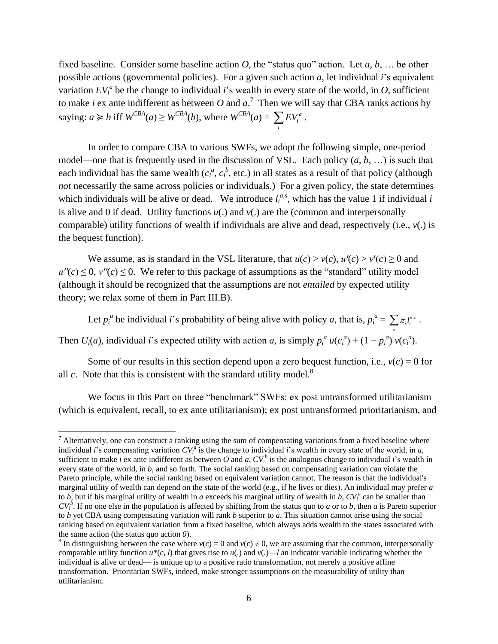fixed baseline. Consider some baseline action  $O$ , the "status quo" action. Let  $a, b, \ldots$  be other possible actions (governmental policies). For a given such action *a*, let individual *i*'s equivalent variation  $EV_i^a$  be the change to individual *i*'s wealth in every state of the world, in *O*, sufficient to make *i* ex ante indifferent as between *O* and  $a$ <sup>7</sup>. Then we will say that CBA ranks actions by saying:  $a \ge b$  iff  $W^{CBA}(a) \ge W^{CBA}(b)$ , where  $W^{CBA}(a) = \sum E V_i^a$ *i*  $\sum_i EV_i^a$ .

In order to compare CBA to various SWFs, we adopt the following simple, one-period model—one that is frequently used in the discussion of VSL. Each policy (*a*, *b*, …) is such that each individual has the same wealth  $(c_i^a, c_i^b,$  etc.) in all states as a result of that policy (although *not* necessarily the same across policies or individuals.) For a given policy, the state determines which individuals will be alive or dead. We introduce  $l_i^{a,s}$ , which has the value 1 if individual *i* is alive and 0 if dead. Utility functions  $u(.)$  and  $v(.)$  are the (common and interpersonally comparable) utility functions of wealth if individuals are alive and dead, respectively (i.e., *v*(.) is the bequest function).

We assume, as is standard in the VSL literature, that  $u(c) > v(c)$ ,  $u'(c) > v'(c) \ge 0$  and  $u''(c) \leq 0$ ,  $v''(c) \leq 0$ . We refer to this package of assumptions as the "standard" utility model (although it should be recognized that the assumptions are not *entailed* by expected utility theory; we relax some of them in Part III.B).

Let  $p_i^a$  be individual *i*'s probability of being alive with policy *a*, that is,  $p_i^a = \sum_{\pi} \tau_i^{a}$  $\sum \pi_{_s} l^{_{a,s}}_i$  .

*s*

Then  $U_i(a)$ , individual i's expected utility with action a, is simply  $p_i^a u(c_i^a) + (1 - p_i^a) v(c_i^a)$ .

Some of our results in this section depend upon a zero bequest function, i.e.,  $v(c) = 0$  for all  $c$ . Note that this is consistent with the standard utility model.<sup>8</sup>

We focus in this Part on three "benchmark" SWFs: ex post untransformed utilitarianism (which is equivalent, recall, to ex ante utilitarianism); ex post untransformed prioritarianism, and

 $\overline{a}$ 

 $<sup>7</sup>$  Alternatively, one can construct a ranking using the sum of compensating variations from a fixed baseline where</sup> individual *i*'s compensating variation  $CV_i^a$  is the change to individual *i*'s wealth in every state of the world, in *a*, sufficient to make *i* ex ante indifferent as between *O* and *a*,  $CV_i^b$  is the analogous change to individual *i*'s wealth in every state of the world, in *b*, and so forth. The social ranking based on compensating variation can violate the Pareto principle, while the social ranking based on equivalent variation cannot. The reason is that the individual's marginal utility of wealth can depend on the state of the world (e.g., if he lives or dies). An individual may prefer *a* to *b*, but if his marginal utility of wealth in *a* exceeds his marginal utility of wealth in *b*,  $CV_i^a$  can be smaller than  $CV_i^b$ . If no one else in the population is affected by shifting from the status quo to *a* or to *b*, then *a* is Pareto superior to *b* yet CBA using compensating variation will rank *b* superior to *a*. This situation cannot arise using the social ranking based on equivalent variation from a fixed baseline, which always adds wealth to the states associated with the same action (the status quo action *0*).

<sup>&</sup>lt;sup>8</sup> In distinguishing between the case where  $v(c) = 0$  and  $v(c) \neq 0$ , we are assuming that the common, interpersonally comparable utility function  $u^*(c, l)$  that gives rise to  $u(.)$  and  $v(.)$ —*l* an indicator variable indicating whether the individual is alive or dead— is unique up to a positive ratio transformation, not merely a positive affine transformation. Prioritarian SWFs, indeed, make stronger assumptions on the measurability of utility than utilitarianism.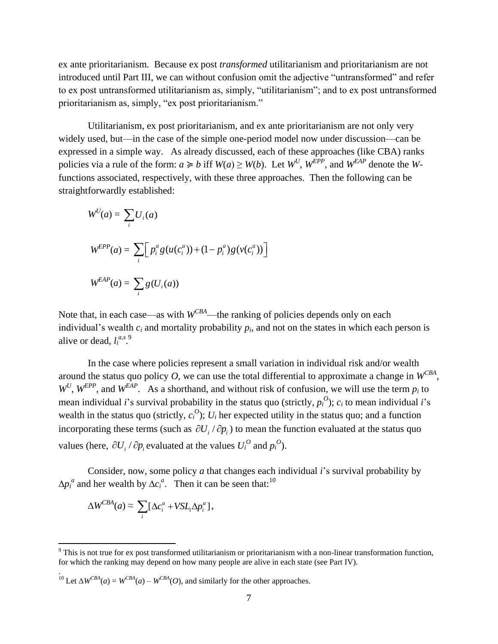ex ante prioritarianism. Because ex post *transformed* utilitarianism and prioritarianism are not introduced until Part III, we can without confusion omit the adjective "untransformed" and refer to ex post untransformed utilitarianism as, simply, "utilitarianism"; and to ex post untransformed prioritarianism as, simply, "ex post prioritarianism."

Utilitarianism, ex post prioritarianism, and ex ante prioritarianism are not only very widely used, but—in the case of the simple one-period model now under discussion—can be expressed in a simple way. As already discussed, each of these approaches (like CBA) ranks policies via a rule of the form:  $a \ge b$  iff  $W(a) \ge W(b)$ . Let  $W^U$ ,  $W^{EPP}$ , and  $W^{EAP}$  denote the *W*functions associated, respectively, with these three approaches. Then the following can be straightforwardly established:

$$
W^{U}(a) = \sum_{i} U_{i}(a)
$$
  

$$
W^{EPP}(a) = \sum_{i} \left[ p_{i}^{a} g(u(c_{i}^{a})) + (1 - p_{i}^{a}) g(v(c_{i}^{a})) \right]
$$
  

$$
W^{EAP}(a) = \sum_{i} g(U_{i}(a))
$$

Note that, in each case—as with  $W^{CBA}$ —the ranking of policies depends only on each individual's wealth  $c_i$  and mortality probability  $p_i$ , and not on the states in which each person is alive or dead,  $l_i^{a,s}$ .

In the case where policies represent a small variation in individual risk and/or wealth around the status quo policy O, we can use the total differential to approximate a change in  $W^{CBA}$ ,  $W^U$ ,  $W^{EPP}$ , and  $W^{EAP}$ . As a shorthand, and without risk of confusion, we will use the term  $p_i$  to mean individual *i*'s survival probability in the status quo (strictly,  $p_i^O$ );  $c_i$  to mean individual *i*'s wealth in the status quo (strictly,  $c_i^O$ );  $U_i$  her expected utility in the status quo; and a function incorporating these terms (such as  $\partial U_i / \partial p_i$ ) to mean the function evaluated at the status quo values (here,  $\partial U_i / \partial p_i$  evaluated at the values  $U_i^O$  and  $p_i^O$ ).

Consider, now, some policy *a* that changes each individual *i*'s survival probability by  $\Delta p_i^a$  and her wealth by  $\Delta c_i^a$ . Then it can be seen that:<sup>10</sup>

$$
\Delta W^{CBA}(a) \approx \sum_i [\Delta c_i^a + VSL_i\Delta p_i^a],
$$

 $\overline{a}$ 

.

<sup>10</sup> Let  $\Delta W^{CBA}(a) = W^{CBA}(a) - W^{CBA}(O)$ , and similarly for the other approaches.

 $9$  This is not true for ex post transformed utilitarianism or prioritarianism with a non-linear transformation function, for which the ranking may depend on how many people are alive in each state (see Part IV).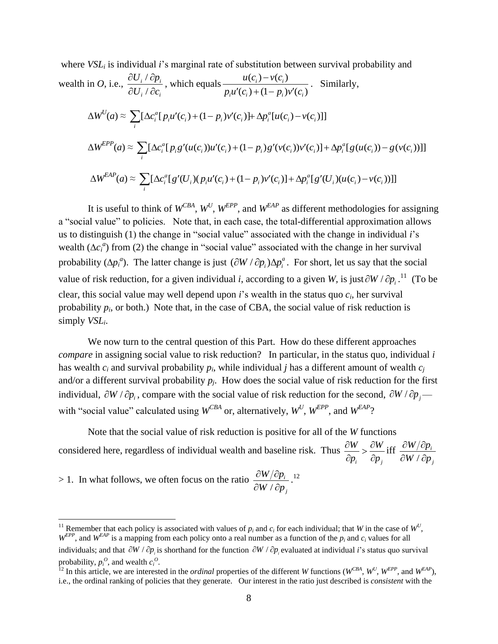where *VSL<sub>i</sub>* is individual *i*'s marginal rate of substitution between survival probability and  
wealth in *O*, i.e., 
$$
\frac{\partial U_i / \partial p_i}{\partial U_i / \partial c_i}
$$
, which equals  $\frac{u(c_i) - v(c_i)}{p_i u'(c_i) + (1 - p_i)v'(c_i)}$ . Similarly,  

$$
\Delta W^U(a) \approx \sum_i [\Delta c_i^a [p_i u'(c_i) + (1 - p_i)v'(c_i)] + \Delta p_i^a [u(c_i) - v(c_i)]]
$$

$$
\Delta W^{EPP}(a) \approx \sum_i [\Delta c_i^a [p_i g'(u(c_i))u'(c_i) + (1 - p_i)g'(v(c_i))v'(c_i)] + \Delta p_i^a [g(u(c_i)) - g(v(c_i))]]
$$

$$
\Delta W^{EAP}(a) \approx \sum_i [\Delta c_i^a [g'(U_i)(p_i u'(c_i) + (1 - p_i)v'(c_i)] + \Delta p_i^a [g'(U_i)(u(c_i) - v(c_i))]]
$$

It is useful to think of  $W^{CBA}$ ,  $W^U$ ,  $W^{EPP}$ , and  $W^{EAP}$  as different methodologies for assigning a "social value" to policies. Note that, in each case, the total-differential approximation allows us to distinguish (1) the change in "social value" associated with the change in individual *i*'s wealth ( $\Delta c_i^a$ ) from (2) the change in "social value" associated with the change in her survival probability  $(\Delta p_i^a)$ . The latter change is just  $(\partial W / \partial p_i) \Delta p_i^a$ . For short, let us say that the social value of risk reduction, for a given individual *i*, according to a given *W*, is just  $\partial W / \partial p_i$ .<sup>11</sup> (To be clear, this social value may well depend upon *i*'s wealth in the status quo *ci*, her survival probability  $p_i$ , or both.) Note that, in the case of CBA, the social value of risk reduction is simply *VSLi*.

We now turn to the central question of this Part. How do these different approaches *compare* in assigning social value to risk reduction? In particular, in the status quo, individual *i*  has wealth  $c_i$  and survival probability  $p_i$ , while individual *j* has a different amount of wealth  $c_j$ and/or a different survival probability  $p_i$ . How does the social value of risk reduction for the first individual,  $\partial W / \partial p_i$ , compare with the social value of risk reduction for the second,  $\partial W / \partial p_j$ with "social value" calculated using  $W^{CBA}$  or, alternatively,  $W^U$ ,  $W^{EPP}$ , and  $W^{EAP}$ ?

Note that the social value of risk reduction is positive for all of the *W* functions considered here, regardless of individual wealth and baseline risk. Thus *i*  $\varphi_j$  $W \quad \partial W$  $p_i$   $\partial p$  $\frac{\partial W}{\partial x} > \frac{\partial W}{\partial y}$  $\partial p_i \quad \partial p$ iff / *i j*  $W/\partial p$  $W / \partial p$  $\partial W/\partial p$  $\partial W / \partial p$ 

> 1. In what follows, we often focus on the ratio / *i j*  $W/\partial p$  $W / \partial p$  $\partial W/\partial p$  $\partial W / \partial p$ . 12

 $\overline{a}$ 

<sup>&</sup>lt;sup>11</sup> Remember that each policy is associated with values of  $p_i$  and  $c_i$  for each individual; that *W* in the case of  $W^U$ ,  $W^{EPP}$ , and  $W^{EAP}$  is a mapping from each policy onto a real number as a function of the  $p_i$  and  $c_i$  values for all individuals; and that  $\partial W / \partial p_i$  is shorthand for the function  $\partial W / \partial p_i$  evaluated at individual *i*'s status quo survival probability,  $p_i^O$ , and wealth  $c_i^O$ .

<sup>&</sup>lt;sup>12</sup> In this article, we are interested in the *ordinal* properties of the different *W* functions ( $W^{CBA}$ ,  $W^U$ ,  $W^{EPP}$ , and  $W^{EAP}$ ), i.e., the ordinal ranking of policies that they generate. Our interest in the ratio just described is *consistent* with the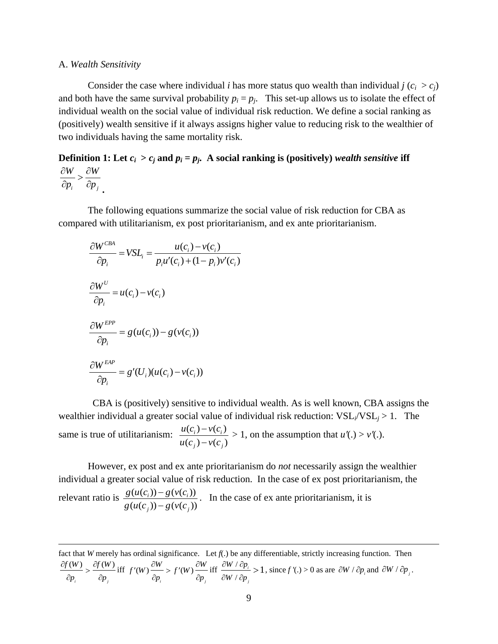#### A. *Wealth Sensitivity*

 $\overline{a}$ 

Consider the case where individual *i* has more status quo wealth than individual *i*  $(c_i > c_i)$ and both have the same survival probability  $p_i = p_j$ . This set-up allows us to isolate the effect of individual wealth on the social value of individual risk reduction. We define a social ranking as (positively) wealth sensitive if it always assigns higher value to reducing risk to the wealthier of two individuals having the same mortality risk.

#### **Definition** 1: Let  $c_i > c_j$  and  $p_i = p_j$ . A social ranking is (positively) *wealth sensitive* iff *i*  $\varphi_j$  $W \quad \partial W$  $p_i$   $\partial p$  $\frac{\partial W}{\partial x} > \frac{\partial W}{\partial y}$  $\partial p_i$   $\partial p_j$ .

The following equations summarize the social value of risk reduction for CBA as compared with utilitarianism, ex post prioritarianism, and ex ante prioritarianism.

$$
\frac{\partial W^{CBA}}{\partial p_i} = VSL_i = \frac{u(c_i) - v(c_i)}{p_i u'(c_i) + (1 - p_i)v'(c_i)}
$$
  

$$
\frac{\partial W^U}{\partial p_i} = u(c_i) - v(c_i)
$$
  

$$
\frac{\partial W^{EPP}}{\partial p_i} = g(u(c_i)) - g(v(c_i))
$$
  

$$
\frac{\partial W^{EAP}}{\partial p_i} = g'(U_i)(u(c_i) - v(c_i))
$$

CBA is (positively) sensitive to individual wealth. As is well known, CBA assigns the wealthier individual a greater social value of individual risk reduction:  $VSL<sub>i</sub>/VSL<sub>i</sub> > 1$ . The same is true of utilitarianism:  $\frac{u(c_i) - v(c_i)}{v(c_i)}$  $(c_i) - v(c_i)$  $i^j$   $V_i$  $j = v(c_j)$  $u(c_i) - v(c_i)$  $u(c_i) - v(c_i)$  $\overline{\phantom{a}}$  $\overline{a}$  $> 1$ , on the assumption that  $u'(.) > v'(.)$ .

However, ex post and ex ante prioritarianism do *not* necessarily assign the wealthier individual a greater social value of risk reduction. In the case of ex post prioritarianism, the relevant ratio is  $\frac{g(u(c_i)) - g(v(c_i))}{g(v(c_i))}$  $\frac{(u(c_i)) - g(v(c_i))}{(u(c_i)) - g(v(c_i))}$  $_{j}$ *)*) –  $g$ ( $v$ ( $c_j$  $g(u(c_i)) - g(v(c_i))$  $g(u(c_i))-g(v(c_i))$  $\overline{a}$  $\overline{a}$ . In the case of ex ante prioritarianism, it is

fact that *W* merely has ordinal significance. Let  $f(.)$  be any differentiable, strictly increasing function. Then  $(W)$   $\partial f(W)$ *i*  $\mathbf{v}_{i}$  $f(W)$   $\partial f(W)$ *p*  $\partial p$  $\frac{\partial f(W)}{\partial y} > \frac{\partial f}{\partial y}$  $\partial p$ ,  $\partial p$ iff  $f'(W) \frac{\partial W}{\partial y} > f'(W)$  $\iota$  *i*  $\iota$  *i*  $\iota$  *j*  $f'(W) \frac{\partial W}{\partial Y} > f'(W) \frac{\partial W}{\partial Y}$  $\frac{p}{p_i}$  p (w)  $\frac{p}{\partial p}$  $f'(W) \frac{\partial W}{\partial W} > f'(W) \frac{\partial W}{\partial W}$  $\frac{\partial W}{\partial p_i} > f'(W) \frac{\partial W}{\partial p_i}$  iff  $\frac{\partial W}{\partial W}$ /  $i > 1$ *j*  $W / \partial p$  $W / \partial p$  $\partial W / \partial p$  $\partial W / \partial p$  $> 1$ , since  $f'(.) > 0$  as are  $\partial W / \partial p_i$  and  $\partial W / \partial p_j$ .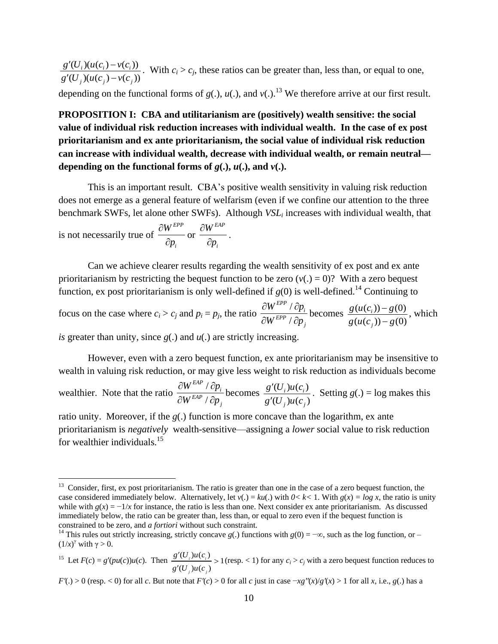$\frac{\partial (U_i)(u(c_i) - v(c_i))}{\partial (U_i)(u(c_j) - v(c_j))}$  $\iota_j$ )( $\iota_l$ ( $c_j$ ) –  $\iota_l$ ( $c_j$  $g'(U_i)(u(c_i)-v(c_i))$  $\frac{1}{g'(U_i)(u(c_i)-v(c_i))}$  $'(U_i)(u(c_i)-v(c_i))$  $\frac{\partial (C_i)(u(c_i) - v(c_i))}{\partial (U_i)(u(c_i) - v(c_i))}$ . With  $c_i > c_j$ , these ratios can be greater than, less than, or equal to one,

depending on the functional forms of  $g(.)$ ,  $u(.)$ , and  $v(.)$ .<sup>13</sup> We therefore arrive at our first result.

 $(U_i)(u(c_i)-v(c_j))$ . With  $c_i > c_j$ , these ratios ca<br>  $U_j)(u(c_j)-v(c_j))$ . With  $c_i > c_j$ , these ratios ca<br>
ending on the functional forms of  $g(.)$ ,  $u(.)$ , and<br> **OPOSITION I: CBA and utilitarianism are<br>
uc of individual risk reduction in PROPOSITION I: CBA and utilitarianism are (positively) wealth sensitive: the social value of individual risk reduction increases with individual wealth. In the case of ex post prioritarianism and ex ante prioritarianism, the social value of individual risk reduction can increase with individual wealth, decrease with individual wealth, or remain neutral** depending on the functional forms of  $g(.)$ ,  $u(.)$ , and  $v(.)$ .

This is an important result. CBA's positive wealth sensitivity in valuing risk reduction does not emerge as a general feature of welfarism (even if we confine our attention to the three benchmark SWFs, let alone other SWFs). Although *VSL<sup>i</sup>* increases with individual wealth, that

is not necessarily true of *EPP i W p*  $\partial$  $\partial$ or *EAP i W p*  $\partial$  $\partial$ .

 $\overline{a}$ 

Can we achieve clearer results regarding the wealth sensitivity of ex post and ex ante prioritarianism by restricting the bequest function to be zero  $(v(.) = 0)$ ? With a zero bequest function, ex post prioritarianism is only well-defined if  $g(0)$  is well-defined.<sup>14</sup> Continuing to

focus on the case where  $c_i > c_j$  and  $p_i = p_j$ , the ratio / / *EPP i EPP j*  $W^{EPP}$  /  $\partial p$  $W^{EPP}$  /  $\partial p$  $\partial W^{EPP}$  /  $\partial p$  $\partial W^{EPP}$  /  $\partial p$ becomes  $\frac{g(u(c_i))-g(0)}{g(c_i)}$  $(u(c_i)) - g(0)$ *i j*  $g(u(c_i)) - g$  $g(u(c_i)) - g$  $\overline{a}$  $\overline{a}$ , which

*is* greater than unity, since *g*(.) and *u*(.) are strictly increasing.

However, even with a zero bequest function, ex ante prioritarianism may be insensitive to wealth in valuing risk reduction, or may give less weight to risk reduction as individuals become

wealthier. Note that the ratio / / *EAP i EAP j*  $W^{EAP}$  /  $\partial p$  $W^{EAP}$  /  $\partial p$  $\partial W^{EAP}$  /  $\partial p$  $\partial W^{E\!AP}$  /  $\partial p$ becomes  $\frac{g'(U_i)u(c_i)}{U(i)}$  $(U_i)u(c_i)$  $i$  *ju*  $\mathfrak{c}_i$  $j$ *j* $\mu$ <sub>*l*</sub> $\iota$ <sub>*j*</sub>  $g'(U_i)u(c)$  $g'(U_i)u(c)$  $\overline{\phantom{a}}$  $\overline{\phantom{a}}$ . Setting  $g(.) = \log$  makes this

ratio unity. Moreover, if the *g*(.) function is more concave than the logarithm, ex ante prioritarianism is *negatively* wealth-sensitive—assigning a *lower* social value to risk reduction for wealthier individuals.<sup>15</sup>

 $F'(.) > 0$  (resp. < 0) for all *c*. But note that  $F'(c) > 0$  for all *c* just in case  $-xg''(x)/g'(x) > 1$  for all *x*, i.e., *g*(.) has a

<sup>&</sup>lt;sup>13</sup> Consider, first, ex post prioritarianism. The ratio is greater than one in the case of a zero bequest function, the case considered immediately below. Alternatively, let  $v(.) = ku(.)$  with  $0 < k < 1$ . With  $g(x) = log x$ , the ratio is unity while with  $g(x) = -1/x$  for instance, the ratio is less than one. Next consider ex ante prioritarianism. As discussed immediately below, the ratio can be greater than, less than, or equal to zero even if the bequest function is constrained to be zero, and *a fortiori* without such constraint.

<sup>&</sup>lt;sup>14</sup> This rules out strictly increasing, strictly concave *g*(.) functions with  $g(0) = -\infty$ , such as the log function, or – (1/*x*) <sup>γ</sup> with γ > 0.

<sup>&</sup>lt;sup>15</sup> Let  $F(c) = g'(pu(c))u(c)$ . Then  $\frac{g'(U_i)u(c_i)}{g(U_i)g(c)} > 1$  $(U_{i})u(c_{i})$  $\sum_i$ *j j*  $g'(U)u(c)$  $g'(U)$ <sub>i</sub>) $u(c)$  $\frac{r(U_i)u(c_i)}{U}$  $\overline{\phantom{a}}$ (resp.  $<$  1) for any  $c_i$  >  $c_j$  with a zero bequest function reduces to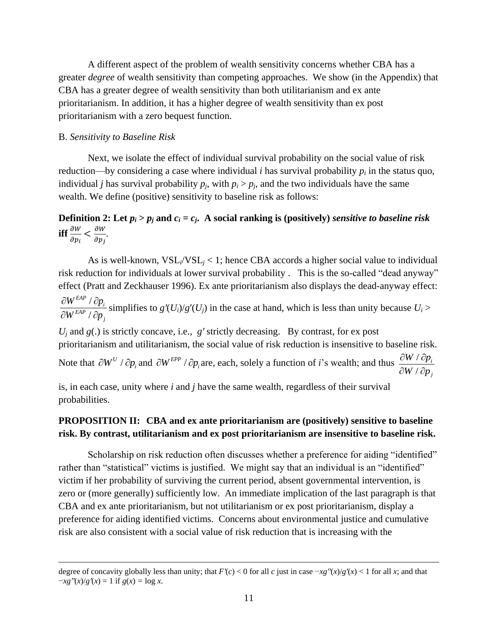A different aspect of the problem of wealth sensitivity concerns whether CBA has a greater *degree* of wealth sensitivity than competing approaches. We show (in the Appendix) that CBA has a greater degree of wealth sensitivity than both utilitarianism and ex ante prioritarianism. In addition, it has a higher degree of wealth sensitivity than ex post prioritarianism with a zero bequest function.

# B. *Sensitivity to Baseline Risk*

 $\overline{a}$ 

Next, we isolate the effect of individual survival probability on the social value of risk reduction—by considering a case where individual *i* has survival probability  $p_i$  in the status quo, individual *j* has survival probability  $p_i$ , with  $p_i > p_j$ , and the two individuals have the same wealth. We define (positive) sensitivity to baseline risk as follows:

#### **Definition 2:** Let  $p_i > p_j$  and  $c_i = c_j$ . A social ranking is (positively) *sensitive to baseline risk* iff $\frac{\partial}{\partial t}$  $\frac{\partial W}{\partial p_i} < \frac{\partial}{\partial}$  $\frac{\partial W}{\partial p_i}$ .

As is well-known,  $VSL_i/VSL_i < 1$ ; hence CBA accords a higher social value to individual risk reduction for individuals at lower survival probability . This is the so-called "dead anyway" effect (Pratt and Zeckhauser 1996). Ex ante prioritarianism also displays the dead-anyway effect: / / *EAP i EAP j*  $W^{EAP}$  /  $\partial p$  $W^{EAP}$  /  $\partial p$  $\partial W^{E\!AP}$  /  $\partial p$  $\partial W^{E\!AP}$  /  $\partial p$ simplifies to  $g'(U_i)/g'(U_j)$  in the case at hand, which is less than unity because  $U_i$  >  $U_i$  and  $g(.)$  is strictly concave, i.e.,  $g'$  strictly decreasing. By contrast, for ex post

prioritarianism and utilitarianism, the social value of risk reduction is insensitive to baseline risk.

Note that  $\partial W^U / \partial p_i$  and  $\partial W^{EPP} / \partial p_i$  are, each, solely a function of *i*'s wealth; and thus  $\frac{\partial W}{\partial W}$ / *i j*  $W / \partial p$  $W / \partial p$  $\partial W / \partial p$  $\partial W / \partial p$ 

is, in each case, unity where *i* and *j* have the same wealth, regardless of their survival probabilities.

# **PROPOSITION II: CBA and ex ante prioritarianism are (positively) sensitive to baseline risk. By contrast, utilitarianism and ex post prioritarianism are insensitive to baseline risk.**

Scholarship on risk reduction often discusses whether a preference for aiding "identified" rather than "statistical" victims is justified. We might say that an individual is an "identified" victim if her probability of surviving the current period, absent governmental intervention, is zero or (more generally) sufficiently low. An immediate implication of the last paragraph is that CBA and ex ante prioritarianism, but not utilitarianism or ex post prioritarianism, display a preference for aiding identified victims. Concerns about environmental justice and cumulative risk are also consistent with a social value of risk reduction that is increasing with the

degree of concavity globally less than unity; that  $F'(c) < 0$  for all *c* just in case  $-xg''(x)/g'(x) < 1$  for all *x*; and that  $-xg''(x)/g'(x) = 1$  if  $g(x) = \log x$ .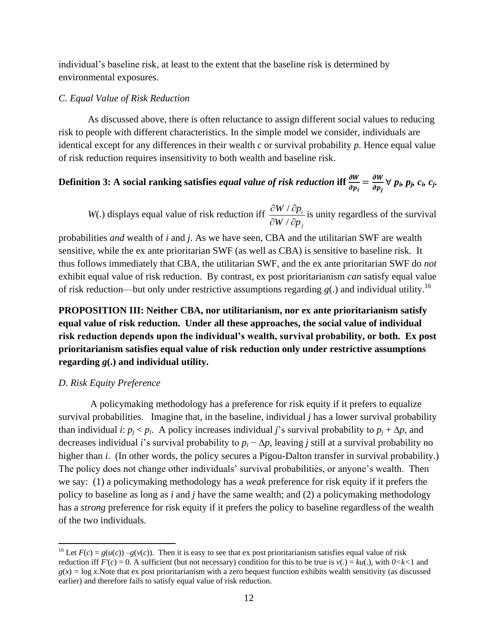individual's baseline risk, at least to the extent that the baseline risk is determined by environmental exposures.

#### *C*. *Equal Value of Risk Reduction*

As discussed above, there is often reluctance to assign different social values to reducing risk to people with different characteristics. In the simple model we consider, individuals are identical except for any differences in their wealth *c* or survival probability *p*. Hence equal value of risk reduction requires insensitivity to both wealth and baseline risk.

# Definition 3: A social ranking satisfies *equal value of risk reduction* iff  $\frac{\partial W}{\partial p_i} = \frac{\partial}{\partial p_j}$  $\frac{\partial w}{\partial p_i} \forall p_i, p_j, c_i, c_j$ .

*W*(.) displays equal value of risk reduction iff  $\frac{\partial W}{\partial x}$ / *i j*  $W / \partial p$  $W / \partial p$  $\partial W / \partial p$  $\partial W / \partial p$ is unity regardless of the survival

probabilities *and* wealth of *i* and *j*. As we have seen, CBA and the utilitarian SWF are wealth sensitive, while the ex ante prioritarian SWF (as well as CBA) is sensitive to baseline risk. It thus follows immediately that CBA, the utilitarian SWF, and the ex ante prioritarian SWF do *not* exhibit equal value of risk reduction. By contrast, ex post prioritarianism *can* satisfy equal value of risk reduction—but only under restrictive assumptions regarding  $g(.)$  and individual utility.<sup>16</sup>

**PROPOSITION III: Neither CBA, nor utilitarianism, nor ex ante prioritarianism satisfy equal value of risk reduction. Under all these approaches, the social value of individual risk reduction depends upon the individual's wealth, survival probability, or both. Ex post prioritarianism satisfies equal value of risk reduction only under restrictive assumptions regarding** *g***(.) and individual utility.**

#### *D*. *Risk Equity Preference*

 $\overline{a}$ 

A policymaking methodology has a preference for risk equity if it prefers to equalize survival probabilities. Imagine that, in the baseline, individual *j* has a lower survival probability than individual *i*:  $p_i < p_i$ . A policy increases individual *j*'s survival probability to  $p_i + \Delta p$ , and decreases individual *i*'s survival probability to  $p_i - \Delta p$ , leaving *j* still at a survival probability no higher than *i*. (In other words, the policy secures a Pigou-Dalton transfer in survival probability.) The policy does not change other individuals' survival probabilities, or anyone's wealth. Then we say: (1) a policymaking methodology has a *weak* preference for risk equity if it prefers the policy to baseline as long as *i* and *j* have the same wealth; and (2) a policymaking methodology has a *strong* preference for risk equity if it prefers the policy to baseline regardless of the wealth of the two individuals.

<sup>&</sup>lt;sup>16</sup> Let  $F(c) = g(u(c)) - g(v(c))$ . Then it is easy to see that ex post prioritarianism satisfies equal value of risk reduction iff  $F'(c) = 0$ . A sufficient (but not necessary) condition for this to be true is  $v(.) = ku(.)$ , with  $0 < k < 1$  and  $g(x) = \log x$ . Note that ex post prioritarianism with a zero bequest function exhibits wealth sensitivity (as discussed earlier) and therefore fails to satisfy equal value of risk reduction.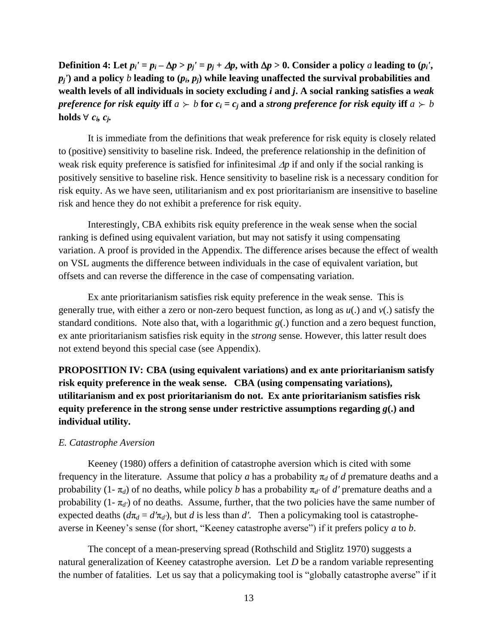Definition 4: Let  $p_i' = p_i - \Delta p > p_j' = p_j + \Delta p$ , with  $\Delta p > 0$ . Consider a policy a leading to  $(p_i', p_j, \Delta p)$  $p_i$ <sup> $\prime$ </sup> and a policy *b* leading to  $(p_i, p_i)$  while leaving unaffected the survival probabilities and **wealth levels of all individuals in society excluding** *i* **and** *j***. A social ranking satisfies a** *weak preference for risk equity* iff  $a \succ b$  for  $c_i = c_j$  and a *strong preference for risk equity* iff  $a \succ b$ **holds**  $\forall$   $c_i$ *,*  $c_j$ *.* 

It is immediate from the definitions that weak preference for risk equity is closely related to (positive) sensitivity to baseline risk. Indeed, the preference relationship in the definition of weak risk equity preference is satisfied for infinitesimal  $\Delta p$  if and only if the social ranking is positively sensitive to baseline risk. Hence sensitivity to baseline risk is a necessary condition for risk equity. As we have seen, utilitarianism and ex post prioritarianism are insensitive to baseline risk and hence they do not exhibit a preference for risk equity.

Interestingly, CBA exhibits risk equity preference in the weak sense when the social ranking is defined using equivalent variation, but may not satisfy it using compensating variation. A proof is provided in the Appendix. The difference arises because the effect of wealth on VSL augments the difference between individuals in the case of equivalent variation, but offsets and can reverse the difference in the case of compensating variation.

Ex ante prioritarianism satisfies risk equity preference in the weak sense. This is generally true, with either a zero or non-zero bequest function, as long as *u*(.) and *v*(.) satisfy the standard conditions. Note also that, with a logarithmic  $g(.)$  function and a zero bequest function, ex ante prioritarianism satisfies risk equity in the *strong* sense. However, this latter result does not extend beyond this special case (see Appendix).

**PROPOSITION IV: CBA (using equivalent variations) and ex ante prioritarianism satisfy risk equity preference in the weak sense. CBA (using compensating variations), utilitarianism and ex post prioritarianism do not. Ex ante prioritarianism satisfies risk equity preference in the strong sense under restrictive assumptions regarding** *g***(.) and individual utility.**

## *E. Catastrophe Aversion*

Keeney (1980) offers a definition of catastrophe aversion which is cited with some frequency in the literature. Assume that policy *a* has a probability  $\pi_d$  of *d* premature deaths and a probability (1- $\pi_d$ ) of no deaths, while policy *b* has a probability  $\pi_{d'}$  of *d'* premature deaths and a probability  $(1 - \pi_{d'})$  of no deaths. Assume, further, that the two policies have the same number of expected deaths ( $d\pi_d = d'\pi_{d'}$ ), but *d* is less than *d'*. Then a policymaking tool is catastropheaverse in Keeney's sense (for short, "Keeney catastrophe averse") if it prefers policy *a* to *b*.

The concept of a mean-preserving spread (Rothschild and Stiglitz 1970) suggests a natural generalization of Keeney catastrophe aversion. Let *D* be a random variable representing the number of fatalities. Let us say that a policymaking tool is "globally catastrophe averse" if it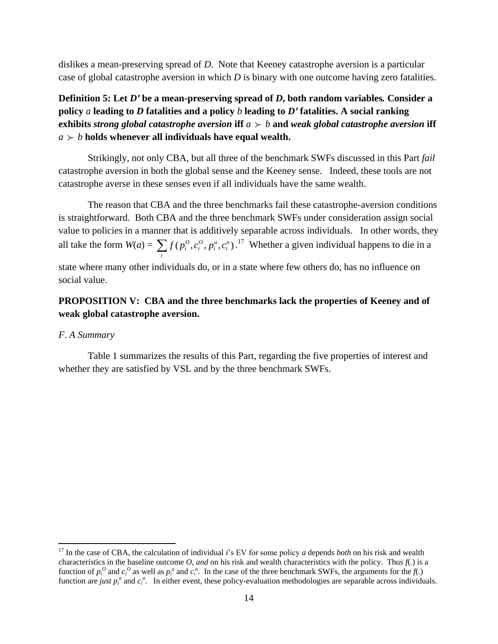dislikes a mean-preserving spread of *D*. Note that Keeney catastrophe aversion is a particular case of global catastrophe aversion in which *D* is binary with one outcome having zero fatalities.

**Definition 5: Let** *Dʹ* **be a mean-preserving spread of** *D***, both random variables***.* **Consider a policy** *a* **leading to** *D* **fatalities and a policy** *b* **leading to** *Dʹ* **fatalities. A social ranking exhibits** *strong* global catastrophe aversion **iff**  $a \succ b$  **and** weak global catastrophe aversion **iff**  $a \succ b$  holds whenever all individuals have equal wealth.

Strikingly, not only CBA, but all three of the benchmark SWFs discussed in this Part *fail* catastrophe aversion in both the global sense and the Keeney sense. Indeed, these tools are not catastrophe averse in these senses even if all individuals have the same wealth.

The reason that CBA and the three benchmarks fail these catastrophe-aversion conditions is straightforward. Both CBA and the three benchmark SWFs under consideration assign social value to policies in a manner that is additively separable across individuals. In other words, they all take the form  $W(a) = \sum f(p_i^o, c_i^o, p_i^a, c_i^a)$ .<sup>17</sup> Whether a given individual happens to die in a *i* state where many other individuals do, or in a state where few others do, has no influence on

# **PROPOSITION V: CBA and the three benchmarks lack the properties of Keeney and of weak global catastrophe aversion.**

#### *F*. *A Summary*

 $\overline{a}$ 

social value.

Table 1 summarizes the results of this Part, regarding the five properties of interest and whether they are satisfied by VSL and by the three benchmark SWFs.

<sup>17</sup> In the case of CBA, the calculation of individual *i*'s EV for some policy *a* depends *both* on his risk and wealth characteristics in the baseline outcome  $O$ , and on his risk and wealth characteristics with the policy. Thus  $f(.)$  is a function of  $p_i^0$  and  $c_i^0$  as well as  $p_i^a$  and  $c_i^a$ . In the case of the three benchmark SWFs, the arguments for the  $f(.)$ function are *just*  $p_i^a$  and  $c_i^a$ . In either event, these policy-evaluation methodologies are separable across individuals.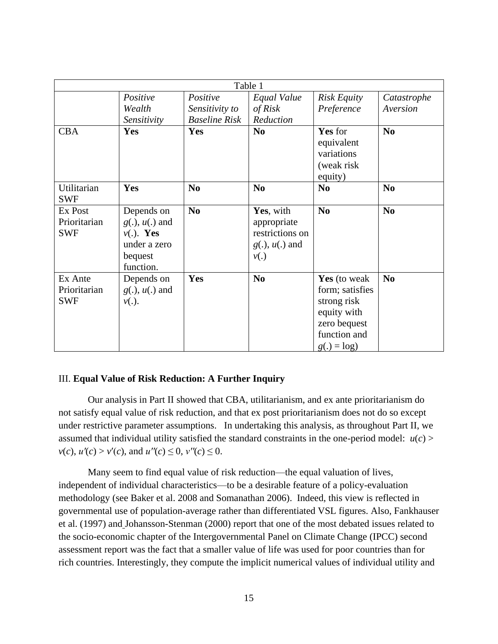| Table 1                               |                                                                                           |                                                    |                                                                            |                                                                                                               |                         |
|---------------------------------------|-------------------------------------------------------------------------------------------|----------------------------------------------------|----------------------------------------------------------------------------|---------------------------------------------------------------------------------------------------------------|-------------------------|
|                                       | Positive<br>Wealth<br>Sensitivity                                                         | Positive<br>Sensitivity to<br><b>Baseline Risk</b> | Equal Value<br>of Risk<br>Reduction                                        | <b>Risk Equity</b><br>Preference                                                                              | Catastrophe<br>Aversion |
| <b>CBA</b>                            | <b>Yes</b>                                                                                | Yes                                                | N <sub>0</sub>                                                             | Yes for<br>equivalent<br>variations<br>(weak risk)<br>equity)                                                 | N <sub>0</sub>          |
| Utilitarian<br><b>SWF</b>             | Yes                                                                                       | N <sub>0</sub>                                     | N <sub>0</sub>                                                             | N <sub>0</sub>                                                                                                | N <sub>0</sub>          |
| Ex Post<br>Prioritarian<br><b>SWF</b> | Depends on<br>$g(.)$ , $u(.)$ and<br>$v(.)$ . Yes<br>under a zero<br>bequest<br>function. | N <sub>0</sub>                                     | Yes, with<br>appropriate<br>restrictions on<br>$g(.)$ , $u(.)$ and<br>v(.) | N <sub>0</sub>                                                                                                | N <sub>0</sub>          |
| Ex Ante<br>Prioritarian<br><b>SWF</b> | Depends on<br>$g(.)$ , $u(.)$ and<br>$v(.)$ .                                             | Yes                                                | N <sub>0</sub>                                                             | Yes (to weak<br>form; satisfies<br>strong risk<br>equity with<br>zero bequest<br>function and<br>$g(.) = log$ | N <sub>0</sub>          |

# III. **Equal Value of Risk Reduction: A Further Inquiry**

Our analysis in Part II showed that CBA, utilitarianism, and ex ante prioritarianism do not satisfy equal value of risk reduction, and that ex post prioritarianism does not do so except under restrictive parameter assumptions. In undertaking this analysis, as throughout Part II, we assumed that individual utility satisfied the standard constraints in the one-period model:  $u(c)$ *v*(*c*),  $u'(c) > v'(c)$ , and  $u''(c) \leq 0$ ,  $v''(c) \leq 0$ .

Many seem to find equal value of risk reduction—the equal valuation of lives, independent of individual characteristics—to be a desirable feature of a policy-evaluation methodology (see Baker et al. 2008 and Somanathan 2006). Indeed, this view is reflected in governmental use of population-average rather than differentiated VSL figures. Also, Fankhauser et al. (1997) and Johansson-Stenman (2000) report that one of the most debated issues related to the socio-economic chapter of the Intergovernmental Panel on Climate Change (IPCC) second assessment report was the fact that a smaller value of life was used for poor countries than for rich countries. Interestingly, they compute the implicit numerical values of individual utility and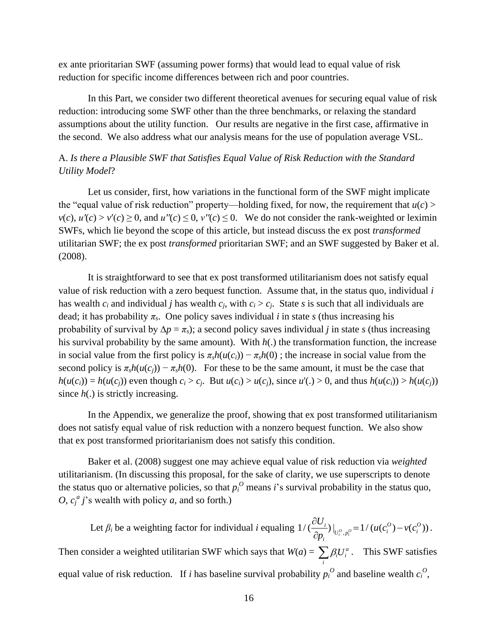ex ante prioritarian SWF (assuming power forms) that would lead to equal value of risk reduction for specific income differences between rich and poor countries.

In this Part, we consider two different theoretical avenues for securing equal value of risk reduction: introducing some SWF other than the three benchmarks, or relaxing the standard assumptions about the utility function. Our results are negative in the first case, affirmative in the second. We also address what our analysis means for the use of population average VSL.

# A. *Is there a Plausible SWF that Satisfies Equal Value of Risk Reduction with the Standard Utility Model*?

Let us consider, first, how variations in the functional form of the SWF might implicate the "equal value of risk reduction" property—holding fixed, for now, the requirement that  $u(c)$  >  $v(c)$ ,  $u'(c) > v'(c) \ge 0$ , and  $u''(c) \le 0$ ,  $v''(c) \le 0$ . We do not consider the rank-weighted or leximin SWFs, which lie beyond the scope of this article, but instead discuss the ex post *transformed* utilitarian SWF; the ex post *transformed* prioritarian SWF; and an SWF suggested by Baker et al. (2008).

It is straightforward to see that ex post transformed utilitarianism does not satisfy equal value of risk reduction with a zero bequest function. Assume that, in the status quo, individual *i* has wealth  $c_i$  and individual *j* has wealth  $c_i$ , with  $c_i > c_j$ . State *s* is such that all individuals are dead; it has probability  $\pi_s$ . One policy saves individual *i* in state *s* (thus increasing his probability of survival by  $\Delta p = \pi_s$ ); a second policy saves individual *j* in state *s* (thus increasing his survival probability by the same amount). With *h*(.) the transformation function, the increase in social value from the first policy is  $\pi_s h(u(c_i)) - \pi_s h(0)$ ; the increase in social value from the second policy is  $\pi_s h(u(c_i)) - \pi_s h(0)$ . For these to be the same amount, it must be the case that  $h(u(c_i)) = h(u(c_i))$  even though  $c_i > c_i$ . But  $u(c_i) > u(c_i)$ , since  $u'(.) > 0$ , and thus  $h(u(c_i)) > h(u(c_i))$ since  $h(.)$  is strictly increasing.

In the Appendix, we generalize the proof, showing that ex post transformed utilitarianism does not satisfy equal value of risk reduction with a nonzero bequest function. We also show that ex post transformed prioritarianism does not satisfy this condition.

Baker et al. (2008) suggest one may achieve equal value of risk reduction via *weighted*  utilitarianism. (In discussing this proposal, for the sake of clarity, we use superscripts to denote the status quo or alternative policies, so that  $p_i^O$  means *i*'s survival probability in the status quo, *O*,  $c_j^a$  *j*'s wealth with policy *a*, and so forth.)

Let  $\beta_i$  be a weighting factor for individual *i* equaling  $1/(\frac{\partial U_i}{\partial p_i})\big|_{U_i^O, p_i^O}=1/(u(c_i^O)-v(c_i^O))$ *i*  $-1/(u(c^0) - v(c^0))$  $\sum_{i}^{i}$ )  $\Big|_{U_i^o, p_i^o} = 1/(u(c_i^o) - v(c_i^o))$  $\frac{U_i}{\partial p_i}$ )  $\Big|_{U_i^o, p_i^o} = 1/(u(c_i^o) - v(c_i))$  $\frac{\partial U_i}{\partial p_i}\big)\big|_{U_i^o, p_i^o} = 1/(u(c_i^o) - v(c_i^o))$ . Then consider a weighted utilitarian SWF which says that  $W(a) = \sum \beta_i U_i^a$ *i i*  $\sum_i \beta_i U_i^a$ . This SWF satisfies equal value of risk reduction. If *i* has baseline survival probability  $p_i^O$  and baseline wealth  $c_i^O$ ,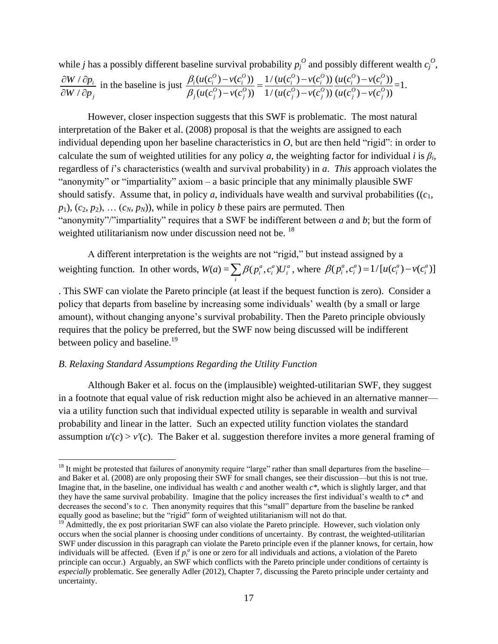while *j* has a possibly different baseline survival probability  $p_j^O$  and possibly different wealth  $c_j^O$ , / / *i j*  $W / \partial p$  $W / \partial p$  $\partial W / \partial p$  $\partial W / \partial p$ a possibly different baseline survival probability  $p_j^O$  and possibly different<br>in the baseline is just  $\frac{\beta_i(u(c_i^O) - v(c_i^O))}{\beta_i(u(c_i^O) - u(c_i^O))} = \frac{1/(u(c_i^O) - v(c_i^O))}{\beta_i(u(c_i^O) - u(c_i^O))} \frac{(u(c_i^O) - v(c_i^O))}{\beta_i(u(c_i^O) - u(c_i^O))}$ Eline survival probability  $p_j^{\circ}$  and possibly different<br>  $\frac{(u(c_i^O) - v(c_i^O))}{(u(c_j^O) - v(c_j^O))} = \frac{1/(u(c_i^O) - v(c_i^O))}{1/(u(c_j^O) - v(c_j^O))} \frac{(u(c_i^O) - v(c_i^O))}{(u(c_j^O) - v(c_j^O))}$  $\frac{\partial_i (u(c_i^0) - v(c_i^0))}{\partial_i u(c_i^0)} = \frac{1/(u(c_i^0) - v(c_i^0))}{\partial_i u(c_i^0)} \frac{(u(c_i^0) - v(c_i^0))}{\partial_i u(c_i^0)}$  $\frac{\partial^0}{\partial^0} - v(c_i^0) = \frac{1}{u(c_i^0)} - v(c_i^0) \frac{u(c_i^0) - v(c_i^0)}{u(c_i^0) - v(c_i^0)}$  $\frac{1}{i}$   $\frac{u(c_i^0) - v(c_j^0)}{u(c_j^0) - v(c_j^0)} = \frac{1}{1}$   $\frac{u(c_i^0) - v(c_j^0)}{u(c_j^0) - v(c_j^0)}$   $\frac{u(c_i^0) - v(c_j^0)}{u(c_j^0) - v(c_j^0)}$ line survival probability  $p_j^O$  and possibly differ<br>  $\frac{u(c_i^O) - v(c_i^O)}{=} \frac{1/(u(c_i^O) - v(c_i^O))}{u(c_i^O) - v(c_i^O)}$  $\frac{u(c_i^0) - v(c_i^0)}{u(c_j^0) - v(c_j^0)} = \frac{1/(u(c_i^0) - v(c_i^0))}{1/(u(c_j^0) - v(c_j^0))} \frac{(u(c_i^0) - v(c_j^0))}{(u(c_j^0) - v(c_j^0))}$  $\beta_i$  $_{\beta}$ urvival probability  $p_j^O$  and possibly different v<br>  $-\nu(c_i^O)$  =  $\frac{1}{\nu}(\mu(c_i^O) - \nu(c_i^O))(\mu(c_i^O) - \nu(c_i^O))$  $\frac{-v(c_i^0)}{-v(c_j^0)} = \frac{1/(u(c_i^0) - v(c_i^0))}{1/(u(c_j^0) - v(c_j^0))} \frac{(u(c_i^0) - v(c_i^0))}{(u(c_j^0) - v(c_j^0))} =$  $=1$ .

However, closer inspection suggests that this SWF is problematic. The most natural interpretation of the Baker et al. (2008) proposal is that the weights are assigned to each individual depending upon her baseline characteristics in *O*, but are then held "rigid": in order to calculate the sum of weighted utilities for any policy *a*, the weighting factor for individual *i* is  $\beta_i$ , regardless of *i*'s characteristics (wealth and survival probability) in *a*. *This* approach violates the "anonymity" or "impartiality" axiom – a basic principle that any minimally plausible SWF should satisfy. Assume that, in policy  $a$ , individuals have wealth and survival probabilities  $((c_1,$  $p_1$ ,  $(c_2, p_2)$ ,  $\dots$   $(c_N, p_N)$ , while in policy *b* these pairs are permuted. Then "anonymity"/"impartiality" requires that a SWF be indifferent between *a* and *b*; but the form of weighted utilitarianism now under discussion need not be. <sup>18</sup>

A different interpretation is the weights are not "rigid," but instead assigned by a weighting function. In other words,  $W(a) = \sum_i \beta(p_i^a, c_i^a) U_i^a$ , where  $\beta(p_i^a, c_i^a) = 1/[u(c_i^a) - v(c_i^a)]$ 

. This SWF can violate the Pareto principle (at least if the bequest function is zero). Consider a policy that departs from baseline by increasing some individuals' wealth (by a small or large amount), without changing anyone's survival probability. Then the Pareto principle obviously requires that the policy be preferred, but the SWF now being discussed will be indifferent between policy and baseline.<sup>19</sup>

#### *B*. *Relaxing Standard Assumptions Regarding the Utility Function*

 $\overline{a}$ 

Although Baker et al. focus on the (implausible) weighted-utilitarian SWF, they suggest in a footnote that equal value of risk reduction might also be achieved in an alternative manner via a utility function such that individual expected utility is separable in wealth and survival probability and linear in the latter. Such an expected utility function violates the standard assumption  $u'(c) > v'(c)$ . The Baker et al. suggestion therefore invites a more general framing of

<sup>&</sup>lt;sup>18</sup> It might be protested that failures of anonymity require "large" rather than small departures from the baseline and Baker et al. (2008) are only proposing their SWF for small changes, see their discussion—but this is not true. Imagine that, in the baseline, one individual has wealth *c* and another wealth *c\**, which is slightly larger, and that they have the same survival probability. Imagine that the policy increases the first individual's wealth to *c*\* and decreases the second's to *c*. Then anonymity requires that this "small" departure from the baseline be ranked equally good as baseline; but the "rigid" form of weighted utilitarianism will not do that.

<sup>19</sup> Admittedly, the ex post prioritarian SWF can also violate the Pareto principle. However, such violation only occurs when the social planner is choosing under conditions of uncertainty. By contrast, the weighted-utilitarian SWF under discussion in this paragraph can violate the Pareto principle even if the planner knows, for certain, how individuals will be affected. (Even if  $p_i^a$  is one or zero for all individuals and actions, a violation of the Pareto principle can occur.) Arguably, an SWF which conflicts with the Pareto principle under conditions of certainty is *especially* problematic. See generally Adler (2012), Chapter 7, discussing the Pareto principle under certainty and uncertainty.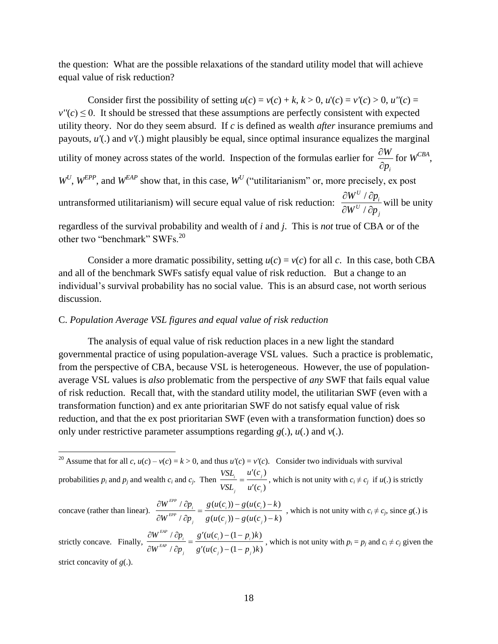the question: What are the possible relaxations of the standard utility model that will achieve equal value of risk reduction?

Consider first the possibility of setting  $u(c) = v(c) + k$ ,  $k > 0$ ,  $u'(c) = v'(c) > 0$ ,  $u''(c) =$  $v''(c) \leq 0$ . It should be stressed that these assumptions are perfectly consistent with expected utility theory. Nor do they seem absurd. If *c* is defined as wealth *after* insurance premiums and payouts, *u'*(.) and *v'*(.) might plausibly be equal, since optimal insurance equalizes the marginal utility of money across states of the world. Inspection of the formulas earlier for *i W p*  $\partial$  $\partial$ for  $W^{CBA}$ ,  $W^U$ ,  $W^{EPP}$ , and  $W^{EAP}$  show that, in this case,  $W^U$  ("utilitarianism" or, more precisely, ex post untransformed utilitarianism) will secure equal value of risk reduction: / / *U i U j*  $W^U$  /  $\partial p$  $W^U$  /  $\partial p$  $\partial W^U$  /  $\partial p$  $\partial W^U$  /  $\partial p$ will be unity regardless of the survival probability and wealth of *i* and *j*. This is *not* true of CBA or of the

other two "benchmark" SWFs.<sup>20</sup>

 $\overline{a}$ 

Consider a more dramatic possibility, setting  $u(c) = v(c)$  for all *c*. In this case, both CBA and all of the benchmark SWFs satisfy equal value of risk reduction. But a change to an individual's survival probability has no social value. This is an absurd case, not worth serious discussion.

# C. *Population Average VSL figures and equal value of risk reduction*

The analysis of equal value of risk reduction places in a new light the standard governmental practice of using population-average VSL values. Such a practice is problematic, from the perspective of CBA, because VSL is heterogeneous. However, the use of populationaverage VSL values is *also* problematic from the perspective of *any* SWF that fails equal value of risk reduction. Recall that, with the standard utility model, the utilitarian SWF (even with a transformation function) and ex ante prioritarian SWF do not satisfy equal value of risk reduction, and that the ex post prioritarian SWF (even with a transformation function) does so only under restrictive parameter assumptions regarding *g*(.), *u*(.) and *v*(.).

 $\frac{P_i}{\partial p_i} = \frac{6}{g'(u(c_j) - (1 - p_j)k)}$  $\frac{EAP}{P}$  /  $\frac{\partial p_i}{\partial p_j}$  =  $\frac{g'(u(c_i) - (1 - p_i))}{g'(u(c_j) - (1 - p_j))}$  $\frac{u_i}{W^{EAP} / \partial p_j} = \frac{8 \sqrt{v_i} + 1/2}{g'(u(c_j) - (1 - p_j))k}$  $\frac{\partial W^{EAP}}{\partial W^{EAP}} / \frac{\partial p_i}{\partial p_j} = \frac{g'(u(c_i) - (1 - p_i)k)}{g'(u(c_j) - (1 - p_j)k)}$ , which is not unity with  $p_i = p_j$  and  $c_i \neq c_j$  given the strict concavity of *g*(.).

<sup>&</sup>lt;sup>20</sup> Assume that for all *c*,  $u(c) - v(c) = k > 0$ , and thus  $u'(c) = v'(c)$ . Consider two individuals with survival probabilities  $p_i$  and  $p_j$  and wealth  $c_i$  and  $c_j$ . Then  $(c_i)$  $(c_i)$  $\sum_{i}$  **i** *j i*  $VSL$ <sub>*i</sub>*  $u'(c)$ </sub>  $VSL$ <sub>i</sub>  $u'(c)$  $\overline{\phantom{a}}$  $=$  $\overline{\phantom{a}}$ , which is not unity with  $c_i \neq c_j$  if  $u(.)$  is strictly concave (rather than linear).  $\frac{\partial W^{EPP} / \partial p_i}{\partial F} = \frac{g(u(c_i)) - g(u(c_i) - k)}{g(u(c_i))}$  $\frac{\partial P_i}{\partial p_j} = \frac{g(w(c_i)) - g(w(c_i)) - w_j}{g(u(c_j)) - g(u(c_j)) - k_j}$  $\frac{EPP}{P}$  *i*  $\frac{\partial p_i}{\partial p_j} = \frac{g(u(c_i)) - g(u(c_i))}{g(u(c_j)) - g(u(c_j))}$  $W^{EPP}$  /  $\partial p_i = g(u(c_i)) - g(u(c_i)) - k$  $\frac{W^{EPP} \wedge \partial p_i}{W^{EPP} \wedge \partial p_j} = \frac{8 \wedge w(c_i) - 8 \wedge w(c_i) - w}{g(u(c_j)) - g(u(c_j)) - k}$  $\frac{\partial W^{EPP} / \partial p_i}{\partial W^{EPP} / \partial p_j} = \frac{g(u(c_i)) - g(u(c_i) - k)}{g(u(c_j)) - g(u(c_j) - k)}$ , which is not unity with  $c_i \neq c_j$ , since  $g(.)$  is strictly concave. Finally,  $\frac{\partial W^{EAP}}{\partial p_i} = \frac{g'(u(c_i) - (1 - p_i)k)}{g'(u(c_i) - (1 - p_i))}$  $W^{EAP} / \partial p_i = g'(u(c_i) - (1 - p_i)k)$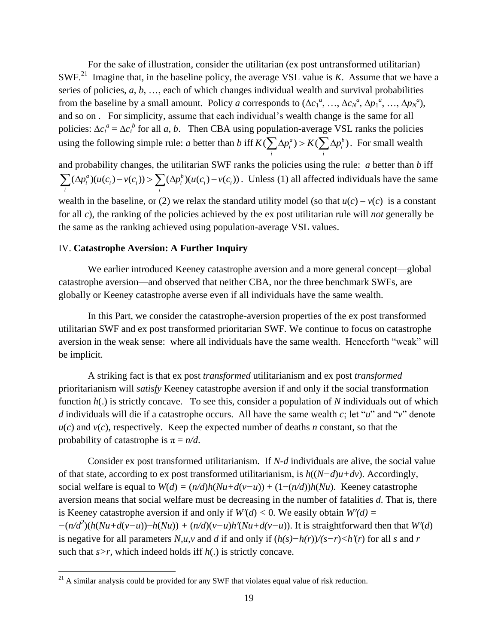For the sake of illustration, consider the utilitarian (ex post untransformed utilitarian) SWF.<sup>21</sup> Imagine that, in the baseline policy, the average VSL value is *K*. Assume that we have a series of policies, *a*, *b*, …, each of which changes individual wealth and survival probabilities from the baseline by a small amount. Policy *a* corresponds to  $(\Delta c_1^a, ..., \Delta c_N^a, \Delta p_1^a, ..., \Delta p_N^a)$ , and so on . For simplicity, assume that each individual's wealth change is the same for all policies:  $\Delta c_i^a = \Delta c_i^b$  for all *a*, *b*. Then CBA using population-average VSL ranks the policies using the following simple rule: *a* better than *b* iff  $K(\sum \Delta p_i^a) > K(\sum \Delta p_i^b)$ population-average vsL ranks the policies<br>  $K(\sum_i \Delta p_i^a) > K(\sum_i \Delta p_i^b)$ . For small wealth

and probability changes, the utilitarian SWF ranks the policies using the rule: *a* better than *b* iff probability changes, the utilitarian SWF ra<br>  $(\Delta p_i^a)(u(c_i) - v(c_i)) > \sum (\Delta p_i^b)(u(c_i) - v(c_i))$ and probability changes, the utilitarian SWF random probability changes, the utilitarian SWF random  $\sum_i (\Delta p_i^a)(u(c_i) - v(c_i)) > \sum_i (\Delta p_i^b)(u(c_i) - v(c_i))$ . . Unless (1) all affected individuals have the same wealth in the baseline, or (2) we relax the standard utility model (so that  $u(c) - v(c)$  is a constant for all *c*), the ranking of the policies achieved by the ex post utilitarian rule will *not* generally be the same as the ranking achieved using population-average VSL values.

#### IV. **Catastrophe Aversion: A Further Inquiry**

We earlier introduced Keeney catastrophe aversion and a more general concept—global catastrophe aversion—and observed that neither CBA, nor the three benchmark SWFs, are globally or Keeney catastrophe averse even if all individuals have the same wealth.

In this Part, we consider the catastrophe-aversion properties of the ex post transformed utilitarian SWF and ex post transformed prioritarian SWF. We continue to focus on catastrophe aversion in the weak sense: where all individuals have the same wealth. Henceforth "weak" will be implicit.

A striking fact is that ex post *transformed* utilitarianism and ex post *transformed* prioritarianism will *satisfy* Keeney catastrophe aversion if and only if the social transformation function *h*(.) is strictly concave. To see this, consider a population of *N* individuals out of which *d* individuals will die if a catastrophe occurs. All have the same wealth *c*; let "*u*" and "*v*" denote  $u(c)$  and  $v(c)$ , respectively. Keep the expected number of deaths *n* constant, so that the probability of catastrophe is  $\pi = n/d$ .

Consider ex post transformed utilitarianism. If *N-d* individuals are alive, the social value of that state, according to ex post transformed utilitarianism, is *h*((*N−d*)*u+dv*). Accordingly, social welfare is equal to  $W(d) = (n/d)h(Nu+d(v-u)) + (1-(n/d))h(Nu)$ . Keeney catastrophe aversion means that social welfare must be decreasing in the number of fatalities *d*. That is, there is Keeney catastrophe aversion if and only if  $W'(d) < 0$ . We easily obtain  $W'(d) =$  $-(n/d^2)(h(Nu+d(v-u))-h(Nu)) + (n/d)(v-u)h'(Nu+d(v-u))$ . It is straightforward then that *W'*(*d*) is negative for all parameters *N,u,v* and *d* if and only if (*h(s)−h(r*))*/(s−r*)*<h′*(*r*) for all *s* and *r* such that *s>r*, which indeed holds iff *h*(.) is strictly concave.

 $\overline{a}$ 

 $21$  A similar analysis could be provided for any SWF that violates equal value of risk reduction.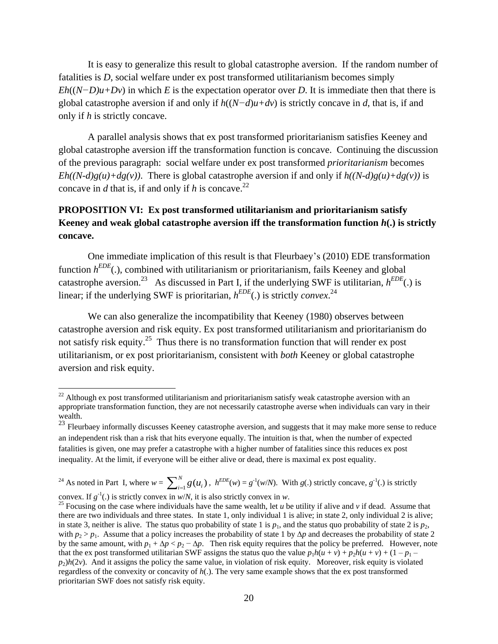It is easy to generalize this result to global catastrophe aversion. If the random number of fatalities is *D*, social welfare under ex post transformed utilitarianism becomes simply  $Eh((N-D)u+Dv)$  in which *E* is the expectation operator over *D*. It is immediate then that there is global catastrophe aversion if and only if *h*((*N−d*)*u+dv*) is strictly concave in *d*, that is, if and only if *h* is strictly concave.

A parallel analysis shows that ex post transformed prioritarianism satisfies Keeney and global catastrophe aversion iff the transformation function is concave. Continuing the discussion of the previous paragraph: social welfare under ex post transformed *prioritarianism* becomes  $Eh((N-d)g(u)+dg(v))$ . There is global catastrophe aversion if and only if  $h((N-d)g(u)+dg(v))$  is concave in *d* that is, if and only if *h* is concave.<sup>22</sup>

# **PROPOSITION VI: Ex post transformed utilitarianism and prioritarianism satisfy Keeney and weak global catastrophe aversion iff the transformation function** *h***(.) is strictly concave.**

One immediate implication of this result is that Fleurbaey's (2010) EDE transformation function  $h^{EDE}$ (.), combined with utilitarianism or prioritarianism, fails Keeney and global catastrophe aversion.<sup>23</sup> As discussed in Part I, if the underlying SWF is utilitarian,  $h^{EDE}$ (.) is linear; if the underlying SWF is prioritarian, *h EDE*(.) is strictly *convex*. 24

We can also generalize the incompatibility that Keeney (1980) observes between catastrophe aversion and risk equity. Ex post transformed utilitarianism and prioritarianism do not satisfy risk equity.<sup>25</sup> Thus there is no transformation function that will render ex post utilitarianism, or ex post prioritarianism, consistent with *both* Keeney or global catastrophe aversion and risk equity.

<sup>24</sup> As noted in Part I, where  $w = \sum_{i=1}^{N} g(u_i)$ ,  $h^{EDE}(w) = g^{-1}(w/N)$ . With  $g(.)$  strictly concave,  $g^{-1}(.)$  is strictly

convex. If  $g^{-1}(.)$  is strictly convex in *w/N*, it is also strictly convex in *w*.

 $\overline{a}$ 

 $22$  Although ex post transformed utilitarianism and prioritarianism satisfy weak catastrophe aversion with an appropriate transformation function, they are not necessarily catastrophe averse when individuals can vary in their wealth.

 $^{23}$  Fleurbaey informally discusses Keeney catastrophe aversion, and suggests that it may make more sense to reduce an independent risk than a risk that hits everyone equally. The intuition is that, when the number of expected fatalities is given, one may prefer a catastrophe with a higher number of fatalities since this reduces ex post inequality. At the limit, if everyone will be either alive or dead, there is maximal ex post equality.

<sup>&</sup>lt;sup>25</sup> Focusing on the case where individuals have the same wealth, let *u* be utility if alive and *v* if dead. Assume that there are two individuals and three states. In state 1, only individual 1 is alive; in state 2, only individual 2 is alive; in state 3, neither is alive. The status quo probability of state 1 is  $p_1$ , and the status quo probability of state 2 is  $p_2$ , with  $p_2 > p_1$ . Assume that a policy increases the probability of state 1 by  $\Delta p$  and decreases the probability of state 2 by the same amount, with  $p_1 + \Delta p < p_2 - \Delta p$ . Then risk equity requires that the policy be preferred. However, note that the ex post transformed utilitarian SWF assigns the status quo the value  $p_1h(u + v) + p_2h(u + v) + (1 - p_1 - v_2)$  $p_2$ ) $h(2y)$ . And it assigns the policy the same value, in violation of risk equity. Moreover, risk equity is violated regardless of the convexity or concavity of *h*(.). The very same example shows that the ex post transformed prioritarian SWF does not satisfy risk equity.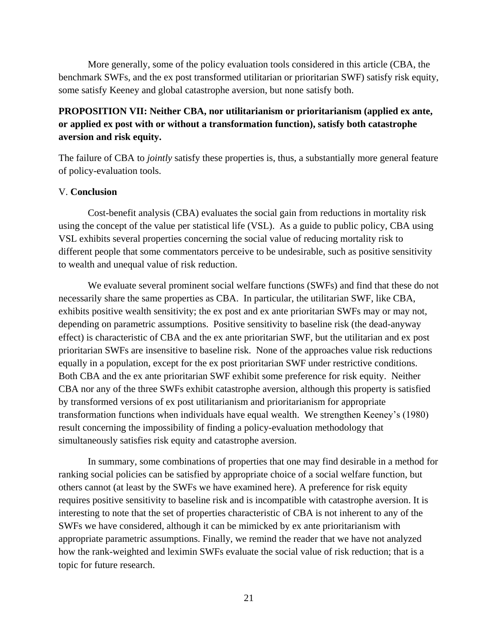More generally, some of the policy evaluation tools considered in this article (CBA, the benchmark SWFs, and the ex post transformed utilitarian or prioritarian SWF) satisfy risk equity, some satisfy Keeney and global catastrophe aversion, but none satisfy both.

# **PROPOSITION VII: Neither CBA, nor utilitarianism or prioritarianism (applied ex ante, or applied ex post with or without a transformation function), satisfy both catastrophe aversion and risk equity.**

The failure of CBA to *jointly* satisfy these properties is, thus, a substantially more general feature of policy-evaluation tools.

#### V. **Conclusion**

Cost-benefit analysis (CBA) evaluates the social gain from reductions in mortality risk using the concept of the value per statistical life (VSL). As a guide to public policy, CBA using VSL exhibits several properties concerning the social value of reducing mortality risk to different people that some commentators perceive to be undesirable, such as positive sensitivity to wealth and unequal value of risk reduction.

We evaluate several prominent social welfare functions (SWFs) and find that these do not necessarily share the same properties as CBA. In particular, the utilitarian SWF, like CBA, exhibits positive wealth sensitivity; the ex post and ex ante prioritarian SWFs may or may not, depending on parametric assumptions. Positive sensitivity to baseline risk (the dead-anyway effect) is characteristic of CBA and the ex ante prioritarian SWF, but the utilitarian and ex post prioritarian SWFs are insensitive to baseline risk. None of the approaches value risk reductions equally in a population, except for the ex post prioritarian SWF under restrictive conditions. Both CBA and the ex ante prioritarian SWF exhibit some preference for risk equity. Neither CBA nor any of the three SWFs exhibit catastrophe aversion, although this property is satisfied by transformed versions of ex post utilitarianism and prioritarianism for appropriate transformation functions when individuals have equal wealth. We strengthen Keeney's (1980) result concerning the impossibility of finding a policy-evaluation methodology that simultaneously satisfies risk equity and catastrophe aversion.

In summary, some combinations of properties that one may find desirable in a method for ranking social policies can be satisfied by appropriate choice of a social welfare function, but others cannot (at least by the SWFs we have examined here). A preference for risk equity requires positive sensitivity to baseline risk and is incompatible with catastrophe aversion. It is interesting to note that the set of properties characteristic of CBA is not inherent to any of the SWFs we have considered, although it can be mimicked by ex ante prioritarianism with appropriate parametric assumptions. Finally, we remind the reader that we have not analyzed how the rank-weighted and leximin SWFs evaluate the social value of risk reduction; that is a topic for future research.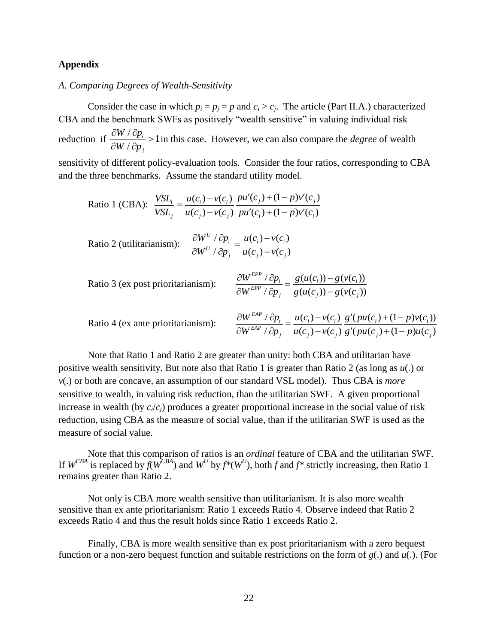# **Appendix**

# *A. Comparing Degrees of Wealth-Sensitivity*

Consider the case in which  $p_i = p_j = p$  and  $c_i > c_j$ . The article (Part II.A.) characterized CBA and the benchmark SWFs as positively "wealth sensitive" in valuing individual risk reduction if  $\frac{\partial W}{\partial p_i} > 1$ / *i j*  $W / \partial p$  $W / \partial p$  $\frac{\partial W}{\partial p_i}$  $\partial W / \partial p$ in this case. However, we can also compare the *degree* of wealth

sensitivity of different policy-evaluation tools. Consider the four ratios, corresponding to CBA and the three benchmarks. Assume the standard utility model.

Ratio 1 (CBA): 
$$
\frac{VSL_i}{VSL_j} = \frac{u(c_i) - v(c_i)}{u(c_j) - v(c_j)} \frac{pu'(c_j) + (1 - p)v'(c_j)}{pu'(c_i) + (1 - p)v'(c_i)}
$$

Ratio 2 (utilitarianism): 
$$
\frac{\partial W^U / \partial p_i}{\partial W^U / \partial p_j} = \frac{u(c_i) - v(c_i)}{u(c_j) - v(c_j)}
$$

Ratio 3 (ex post prioritarianism):  $\sqrt{2p_i}$  –  $g(u(c_i)) - g(v(c_i))$  $\frac{EPP}{P}$  /  $\frac{\partial p_i}{\partial p_j}$  =  $\frac{g(u(c_i)) - g(v(c_i))}{g(u(c_j)) - g(v(c_j))}$  $\frac{W^{EPP} / \partial p_i}{\partial y_i} = \frac{g(u(c_i)) - g(v(c_i))}{g(v(c_i))}$  $\frac{W^{m+1}/\partial p_i}{W^{EPP}/\partial p_j} = \frac{g(u(c_i))-g(v(c_i))}{g(u(c_j))-g(v(c_i))}$  $\frac{\partial W^{EPP} / \partial p_i}{\partial W^{EPP} / \partial p_j} = \frac{g(u(c_i)) - g(v)}{g(u(c_j)) - g(v)}$ 

$$
UW \rightarrow Up_j \quad g(u(c_j)) - g(v(c_j))
$$
  
Ratio 4 (ex ante prioritarianism):
$$
\frac{\partial W^{EAP} / \partial p_i}{\partial W^{EAP} / \partial p_j} = \frac{u(c_i) - v(c_i)}{u(c_j) - v(c_j)} \frac{g'(pu(c_i) + (1 - p)v(c_i))}{g'(pu(c_j) + (1 - p)u(c_j))}
$$

*EAP*

Note that Ratio 1 and Ratio 2 are greater than unity: both CBA and utilitarian have positive wealth sensitivity. But note also that Ratio 1 is greater than Ratio 2 (as long as *u*(.) or *v*(.) or both are concave, an assumption of our standard VSL model). Thus CBA is *more* sensitive to wealth, in valuing risk reduction, than the utilitarian SWF. A given proportional increase in wealth (by  $c_i/c_i$ ) produces a greater proportional increase in the social value of risk reduction, using CBA as the measure of social value, than if the utilitarian SWF is used as the measure of social value.

Note that this comparison of ratios is an *ordinal* feature of CBA and the utilitarian SWF. If  $W^{CBA}$  is replaced by  $f(W^{CBA})$  and  $W^U$  by  $f^*(W^U)$ , both  $f$  and  $f^*$  strictly increasing, then Ratio 1 remains greater than Ratio 2.

Not only is CBA more wealth sensitive than utilitarianism. It is also more wealth sensitive than ex ante prioritarianism: Ratio 1 exceeds Ratio 4. Observe indeed that Ratio 2 exceeds Ratio 4 and thus the result holds since Ratio 1 exceeds Ratio 2.

Finally, CBA is more wealth sensitive than ex post prioritarianism with a zero bequest function or a non-zero bequest function and suitable restrictions on the form of *g*(.) and *u*(.). (For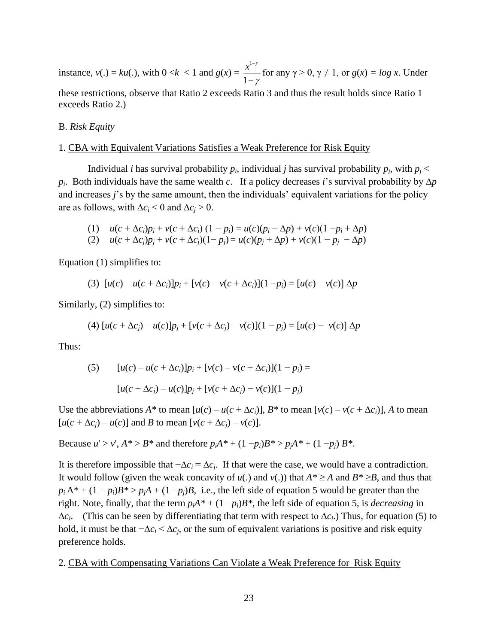instance,  $v(.) = ku(.)$ , with  $0 < k < 1$  and  $g(x) =$ 1 1  $x^{1-\gamma}$ γ - $\overline{a}$ for any  $\gamma > 0$ ,  $\gamma \neq 1$ , or  $g(x) = \log x$ . Under these restrictions, observe that Ratio 2 exceeds Ratio 3 and thus the result holds since Ratio 1 exceeds Ratio 2.)

B. *Risk Equity*

#### 1. CBA with Equivalent Variations Satisfies a Weak Preference for Risk Equity

Individual *i* has survival probability  $p_i$ , individual *j* has survival probability  $p_i$ , with  $p_j$ *pi*. Both individuals have the same wealth *c*. If a policy decreases *i*'s survival probability by ∆*p* and increases *j*'s by the same amount, then the individuals' equivalent variations for the policy are as follows, with  $\Delta c_i < 0$  and  $\Delta c_i > 0$ .

(1) 
$$
u(c + \Delta c_i)p_i + v(c + \Delta c_i)(1 - p_i) = u(c)(p_i - \Delta p) + v(c)(1 - p_i + \Delta p)
$$

(2)  $u(c + \Delta c_i)p_i + v(c + \Delta c_i)(1-p_i) = u(c)(p_i + \Delta p) + v(c)(1-p_i - \Delta p)$ 

Equation (1) simplifies to:

(3) 
$$
[u(c) - u(c + \Delta c_i)]p_i + [v(c) - v(c + \Delta c_i)](1 - p_i) = [u(c) - v(c)] \Delta p
$$

Similarly, (2) simplifies to:

(4) 
$$
[u(c + \Delta c_j) - u(c)]p_j + [v(c + \Delta c_j) - v(c)](1 - p_j) = [u(c) - v(c)]\Delta p
$$

Thus:

(5) 
$$
[u(c) - u(c + \Delta c_i)]p_i + [v(c) - v(c + \Delta c_i)](1 - p_i) =
$$

$$
[u(c + \Delta c_j) - u(c)]p_j + [v(c + \Delta c_j) - v(c)](1 - p_j)
$$

Use the abbreviations  $A^*$  to mean  $[u(c) - u(c + \Delta c_i)]$ ,  $B^*$  to mean  $[v(c) - v(c + \Delta c_i)]$ , A to mean  $[u(c + \Delta c_i) - u(c)]$  and *B* to mean  $[v(c + \Delta c_i) - v(c)].$ 

Because  $u' > v'$ ,  $A^* > B^*$  and therefore  $p_iA^* + (1 - p_i)B^* > p_iA^* + (1 - p_i)B^*$ .

It is therefore impossible that  $-\Delta c_i = \Delta c_i$ . If that were the case, we would have a contradiction. It would follow (given the weak concavity of  $u(.)$  and  $v(.)$ ) that  $A^* \ge A$  and  $B^* \ge B$ , and thus that  $p_i A^* + (1 - p_i) B^* > p_i A + (1 - p_i) B$ , i.e., the left side of equation 5 would be greater than the right. Note, finally, that the term  $p_iA^* + (1 - p_i)B^*$ , the left side of equation 5, is *decreasing* in ∆*ci*. (This can be seen by differentiating that term with respect to ∆*ci*.) Thus, for equation (5) to hold, it must be that  $-\Delta c_i < \Delta c_i$ , or the sum of equivalent variations is positive and risk equity preference holds.

#### 2. CBA with Compensating Variations Can Violate a Weak Preference for Risk Equity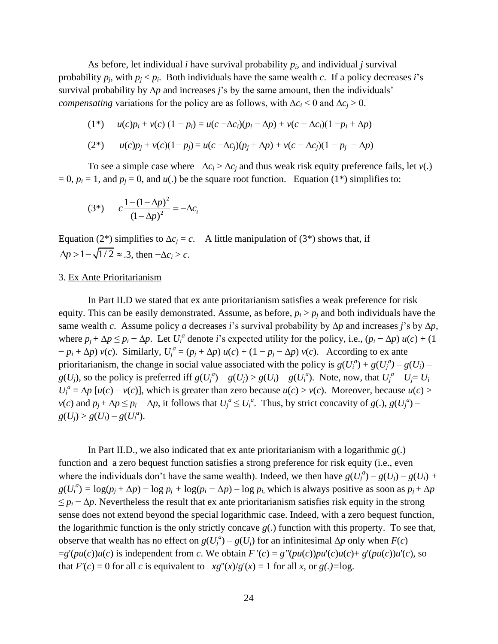As before, let individual *i* have survival probability  $p_i$ , and individual *j* survival probability  $p_j$ , with  $p_j < p_i$ . Both individuals have the same wealth *c*. If a policy decreases *i*'s survival probability by ∆*p* and increases *j*'s by the same amount, then the individuals' *compensating* variations for the policy are as follows, with  $\Delta c_i$  < 0 and  $\Delta c_i$  > 0.

$$
(1^*) \t u(c)p_i + v(c) (1 - p_i) = u(c - \Delta c_i)(p_i - \Delta p) + v(c - \Delta c_i)(1 - p_i + \Delta p)
$$

$$
(2^*) \qquad u(c)p_j + v(c)(1-p_j) = u(c - \Delta c_j)(p_j + \Delta p) + v(c - \Delta c_j)(1-p_j - \Delta p)
$$

To see a simple case where  $-\Delta c_i > \Delta c_i$  and thus weak risk equity preference fails, let *v*(.)  $= 0$ ,  $p_i = 1$ , and  $p_i = 0$ , and  $u(.)$  be the square root function. Equation (1<sup>\*</sup>) simplifies to:

(3\*) 
$$
c \frac{1 - (1 - \Delta p)^2}{(1 - \Delta p)^2} = -\Delta c_i
$$

Equation (2<sup>\*</sup>) simplifies to  $\Delta c_i = c$ . A little manipulation of (3<sup>\*</sup>) shows that, if  $\Delta p > 1 - \sqrt{1/2} \approx .3$ , then  $-\Delta c_i > c$ .

## 3. Ex Ante Prioritarianism

In Part II.D we stated that ex ante prioritarianism satisfies a weak preference for risk equity. This can be easily demonstrated. Assume, as before,  $p_i > p_i$  and both individuals have the same wealth *c*. Assume policy *a* decreases *i*'s survival probability by ∆*p* and increases *j*'s by ∆*p*, where  $p_j + \Delta p \leq p_i - \Delta p$ . Let  $U_i^a$  denote *i*'s expected utility for the policy, i.e.,  $(p_i - \Delta p) u(c) + (1$  $(p_i + \Delta p) v(c)$ . Similarly,  $U_j^a = (p_j + \Delta p) u(c) + (1 - p_j - \Delta p) v(c)$ . According to ex ante prioritarianism, the change in social value associated with the policy is  $g(U_i^a) + g(U_j^a) - g(U_i)$  $g(U_j)$ , so the policy is preferred iff  $g(U_j^a) - g(U_j) > g(U_i) - g(U_i^a)$ . Note, now, that  $U_j^a - U_j = U_i U_i^a = \Delta p$  [*u*(*c*) – *v*(*c*)], which is greater than zero because *u*(*c*) > *v*(*c*). Moreover, because *u*(*c*) >  $v(c)$  and  $p_j + \Delta p \le p_i - \Delta p$ , it follows that  $U_j^a \le U_i^a$ . Thus, by strict concavity of  $g(.)$ ,  $g(U_j^a)$  $g(U_j) > g(U_i) - g(U_i^a)$ .

In Part II.D., we also indicated that ex ante prioritarianism with a logarithmic  $g(.)$ function and a zero bequest function satisfies a strong preference for risk equity (i.e., even where the individuals don't have the same wealth). Indeed, we then have  $g(U_j^a) - g(U_j) - g(U_i) + g(U_j)$  $g(U_i^a) = \log(p_i + \Delta p) - \log p_i + \log(p_i - \Delta p) - \log p_i$ , which is always positive as soon as  $p_i + \Delta p$  $\leq p_i - \Delta p$ . Nevertheless the result that ex ante prioritarianism satisfies risk equity in the strong sense does not extend beyond the special logarithmic case. Indeed, with a zero bequest function, the logarithmic function is the only strictly concave *g*(.) function with this property. To see that, observe that wealth has no effect on  $g(U_j^a) - g(U_j)$  for an infinitesimal  $\Delta p$  only when  $F(c)$  $=g'(pu(c))u(c)$  is independent from c. We obtain  $F'(c) = g''(pu(c))pu'(c)u(c) + g'(pu(c))u'(c)$ , so that  $F'(c) = 0$  for all *c* is equivalent to  $-xg''(x)/g'(x) = 1$  for all *x*, or  $g(.) = \log$ .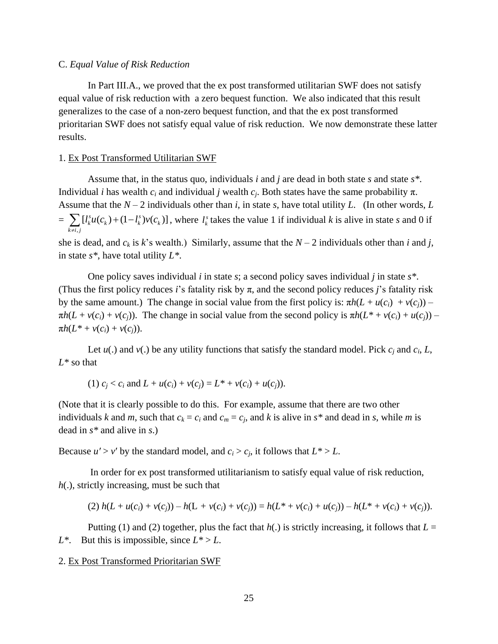#### C. *Equal Value of Risk Reduction*

In Part III.A., we proved that the ex post transformed utilitarian SWF does not satisfy equal value of risk reduction with a zero bequest function. We also indicated that this result generalizes to the case of a non-zero bequest function, and that the ex post transformed prioritarian SWF does not satisfy equal value of risk reduction. We now demonstrate these latter results.

#### 1. Ex Post Transformed Utilitarian SWF

Assume that, in the status quo, individuals *i* and *j* are dead in both state *s* and state *s\**. Individual *i* has wealth  $c_i$  and individual *j* wealth  $c_j$ . Both states have the same probability π. Assume that the  $N-2$  individuals other than *i*, in state *s*, have total utility *L*. (In other words, *L* = ,  $[l_k^s u(c_k) + (1 - l_k^s)v(c_k)]$  $\sum_{k \neq i,j}$  $l_k^s u(c_k) + (1 - l_k^s)v(c_k)$  $\sum_{k \neq i,j} [l_k^s u(c_k) + (1 - l_k^s)v(c_k)]$ , where  $l_k^s$  $l_k^s$  takes the value 1 if individual *k* is alive in state *s* and 0 if she is dead, and  $c_k$  is *k*'s wealth.) Similarly, assume that the  $N-2$  individuals other than *i* and *j*, in state *s\**, have total utility *L\**.

One policy saves individual *i* in state *s*; a second policy saves individual *j* in state *s\**. (Thus the first policy reduces *i*'s fatality risk by  $\pi$ , and the second policy reduces *j*'s fatality risk by the same amount.) The change in social value from the first policy is:  $πh(L + u(c_i) + v(c_i))$  –  $\pi h(L + v(c_i) + v(c_j))$ . The change in social value from the second policy is  $\pi h(L^* + v(c_i) + u(c_j))$  $\pi h(L^* + v(c_i) + v(c_j)).$ 

Let  $u(.)$  and  $v(.)$  be any utility functions that satisfy the standard model. Pick  $c_j$  and  $c_i$ ,  $L$ , *L\** so that

(1) 
$$
c_j < c_i
$$
 and  $L + u(c_i) + v(c_j) = L^* + v(c_i) + u(c_j)$ ).

(Note that it is clearly possible to do this. For example, assume that there are two other individuals *k* and *m*, such that  $c_k = c_i$  and  $c_m = c_j$ , and *k* is alive in  $s^*$  and dead in *s*, while *m* is dead in *s\** and alive in *s*.)

Because  $u' > v'$  by the standard model, and  $c_i > c_j$ , it follows that  $L^* > L$ .

In order for ex post transformed utilitarianism to satisfy equal value of risk reduction, *h*(.), strictly increasing, must be such that

(2) 
$$
h(L + u(c_i) + v(c_j)) - h(L + v(c_i) + v(c_j)) = h(L^* + v(c_i) + u(c_j)) - h(L^* + v(c_i) + v(c_j)).
$$

Putting (1) and (2) together, plus the fact that  $h(.)$  is strictly increasing, it follows that  $L =$ *L\**. But this is impossible, since  $L^* > L$ .

#### 2. Ex Post Transformed Prioritarian SWF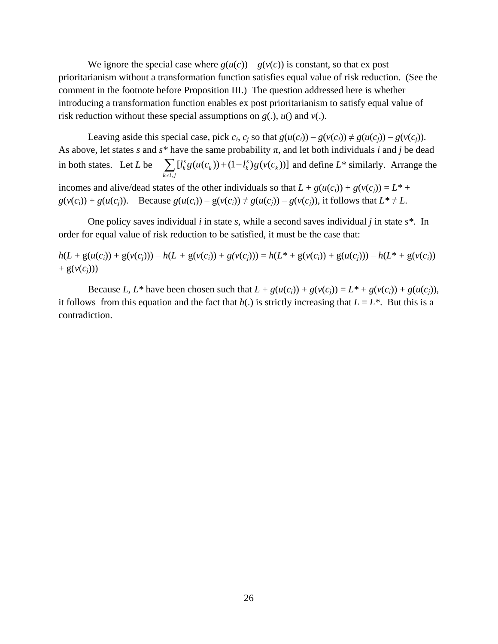We ignore the special case where  $g(u(c)) - g(v(c))$  is constant, so that ex post prioritarianism without a transformation function satisfies equal value of risk reduction. (See the comment in the footnote before Proposition III.) The question addressed here is whether introducing a transformation function enables ex post prioritarianism to satisfy equal value of risk reduction without these special assumptions on *g*(.), *u*() and *v*(.).

Leaving aside this special case, pick  $c_i$ ,  $c_i$  so that  $g(u(c_i)) - g(v(c_i)) \neq g(u(c_i)) - g(v(c_i))$ . As above, let states *s* and  $s^*$  have the same probability  $\pi$ , and let both individuals *i* and *j* be dead in both states. Let *L* be  $\sum_{k} [l_k^s g(u(c_k)) + (1 - l_k^s) g(v(c_k))]$  $\sum_{k \neq i,j}$ *l* flave the same probability *n*, and let both mutuating *l* and *f* be dead<br>  $\sum_{k \neq i,j} [l_k^s g(u(c_k)) + (1 - l_k^s) g(v(c_k))]$  and define *L*<sup>\*</sup> similarly. Arrange the incomes and alive/dead states of the other individuals so that  $L + g(u(c_i)) + g(v(c_i)) = L^*$  $g(v(c_i)) + g(u(c_i))$ . Because  $g(u(c_i)) - g(v(c_i)) \neq g(u(c_i)) - g(v(c_i))$ , it follows that  $L^* \neq L$ .

One policy saves individual *i* in state *s*, while a second saves individual *j* in state *s\**. In order for equal value of risk reduction to be satisfied, it must be the case that:

$$
h(L + g(u(c_i)) + g(v(c_j))) - h(L + g(v(c_i)) + g(v(c_j))) = h(L^* + g(v(c_i)) + g(u(c_j))) - h(L^* + g(v(c_i)))
$$
  
+  $g(v(c_j)))$ 

Because L, L<sup>\*</sup> have been chosen such that  $L + g(u(c_i)) + g(v(c_i)) = L^* + g(v(c_i)) + g(u(c_i)),$ it follows from this equation and the fact that  $h(.)$  is strictly increasing that  $L = L^*$ . But this is a contradiction.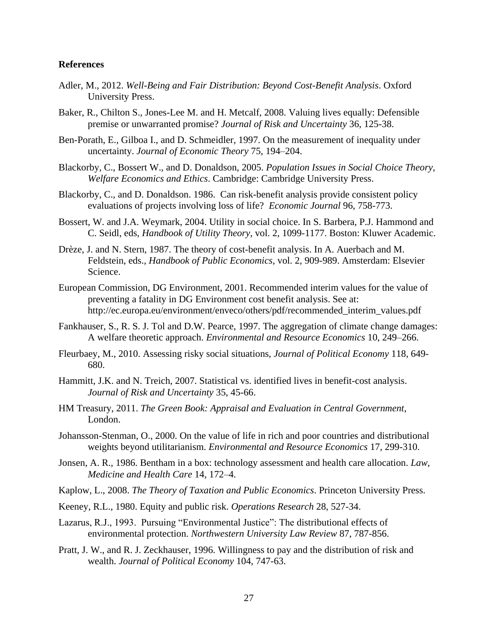#### **References**

- Adler, M., 2012. *Well-Being and Fair Distribution: Beyond Cost-Benefit Analysis*. Oxford University Press.
- Baker, R., Chilton S., Jones-Lee M. and H. Metcalf, 2008. Valuing lives equally: Defensible premise or unwarranted promise? *Journal of Risk and Uncertainty* 36, 125-38.
- Ben-Porath, E., Gilboa I., and D. Schmeidler, 1997. On the measurement of inequality under uncertainty. *Journal of Economic Theory* 75, 194–204.
- Blackorby, C., Bossert W., and D. Donaldson, 2005. *Population Issues in Social Choice Theory, Welfare Economics and Ethics*. Cambridge: Cambridge University Press.
- Blackorby, C., and D. Donaldson. 1986. Can risk-benefit analysis provide consistent policy evaluations of projects involving loss of life? *Economic Journal* 96, 758-773.
- Bossert, W. and J.A. Weymark, 2004. Utility in social choice. In S. Barbera, P.J. Hammond and C. Seidl, eds, *Handbook of Utility Theory*, vol. 2, 1099-1177. Boston: Kluwer Academic.
- Drèze, J. and N. Stern, 1987. The theory of cost-benefit analysis. In A. Auerbach and M. Feldstein, eds., *Handbook of Public Economics*, vol. 2, 909-989. Amsterdam: Elsevier Science.
- European Commission, DG Environment, 2001. Recommended interim values for the value of preventing a fatality in DG Environment cost benefit analysis. See at: http://ec.europa.eu/environment/enveco/others/pdf/recommended\_interim\_values.pdf
- Fankhauser, S., R. S. J. Tol and D.W. Pearce, 1997. The aggregation of climate change damages: A welfare theoretic approach. *Environmental and Resource Economics* 10, 249–266.
- Fleurbaey, M., 2010. Assessing risky social situations, *Journal of Political Economy* 118, 649- 680.
- Hammitt, J.K. and N. Treich, 2007. Statistical vs. identified lives in benefit-cost analysis. *Journal of Risk and Uncertainty* 35, 45-66.
- HM Treasury, 2011. *The Green Book: Appraisal and Evaluation in Central Government*, London.
- Johansson-Stenman, O., 2000. On the value of life in rich and poor countries and distributional weights beyond utilitarianism. *Environmental and Resource Economics* 17, 299-310.
- Jonsen, A. R., 1986. Bentham in a box: technology assessment and health care allocation. *Law, Medicine and Health Care* 14, 172–4.
- Kaplow, L., 2008. *The Theory of Taxation and Public Economics*. Princeton University Press.
- Keeney, R.L., 1980. Equity and public risk. *Operations Research* 28, 527-34.
- Lazarus, R.J., 1993. Pursuing "Environmental Justice": The distributional effects of environmental protection. *Northwestern University Law Review* 87, 787-856.
- Pratt, J. W., and R. J. Zeckhauser, 1996. Willingness to pay and the distribution of risk and wealth. *Journal of Political Economy* 104, 747-63.